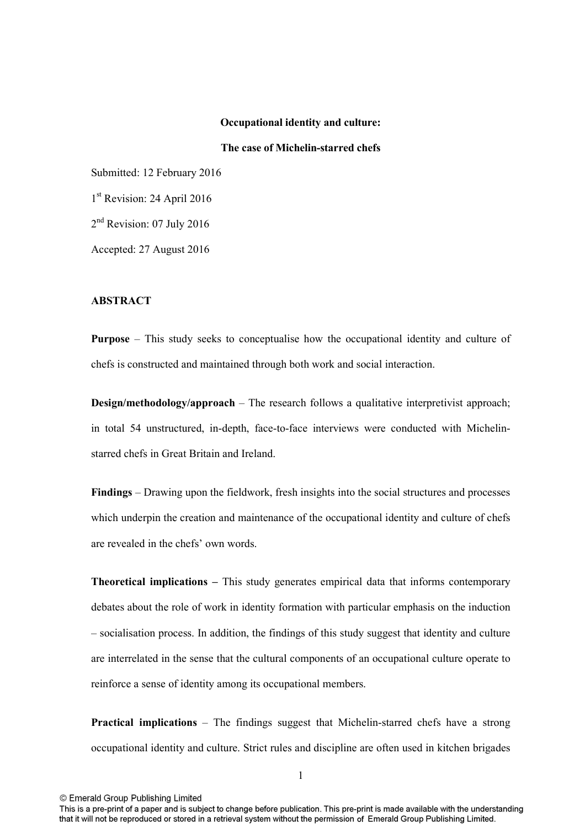# **Occupational identity and culture: The case of Michelin-starred chefs**

Submitted: 12 February 2016

1<sup>st</sup> Revision: 24 April 2016

2<sup>nd</sup> Revision: 07 July 2016

Accepted: 27 August 2016

# **ABSTRACT**

**Purpose** – This study seeks to conceptualise how the occupational identity and culture of chefs is constructed and maintained through both work and social interaction.

**Design/methodology/approach** – The research follows a qualitative interpretivist approach; in total 54 unstructured, in-depth, face-to-face interviews were conducted with Michelinstarred chefs in Great Britain and Ireland.

**Findings** – Drawing upon the fieldwork, fresh insights into the social structures and processes which underpin the creation and maintenance of the occupational identity and culture of chefs are revealed in the chefs' own words.

**Theoretical implications –** This study generates empirical data that informs contemporary debates about the role of work in identity formation with particular emphasis on the induction – socialisation process. In addition, the findings of this study suggest that identity and culture are interrelated in the sense that the cultural components of an occupational culture operate to reinforce a sense of identity among its occupational members.

**Practical implications** – The findings suggest that Michelin-starred chefs have a strong occupational identity and culture. Strict rules and discipline are often used in kitchen brigades

© Emerald Group Publishing Limited

This is a pre-print of a paper and is subject to change before publication. This pre-print is made available with the understanding that it will not be reproduced or stored in a retrieval system without the permission of Emerald Group Publishing Limited.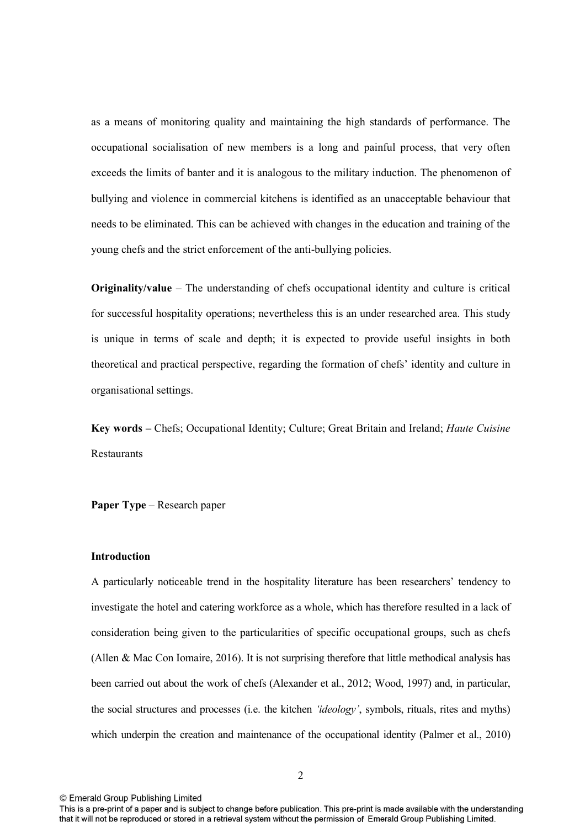as a means of monitoring quality and maintaining the high standards of performance. The occupational socialisation of new members is a long and painful process, that very often exceeds the limits of banter and it is analogous to the military induction. The phenomenon of bullying and violence in commercial kitchens is identified as an unacceptable behaviour that needs to be eliminated. This can be achieved with changes in the education and training of the young chefs and the strict enforcement of the anti-bullying policies.

**Originality/value** – The understanding of chefs occupational identity and culture is critical for successful hospitality operations; nevertheless this is an under researched area. This study is unique in terms of scale and depth; it is expected to provide useful insights in both theoretical and practical perspective, regarding the formation of chefs' identity and culture in organisational settings.

**Key words –** Chefs; Occupational Identity; Culture; Great Britain and Ireland; *Haute Cuisine* Restaurants

**Paper Type** – Research paper

# **Introduction**

A particularly noticeable trend in the hospitality literature has been researchers' tendency to investigate the hotel and catering workforce as a whole, which has therefore resulted in a lack of consideration being given to the particularities of specific occupational groups, such as chefs (Allen & Mac Con Iomaire, 2016). It is not surprising therefore that little methodical analysis has been carried out about the work of chefs (Alexander et al., 2012; Wood, 1997) and, in particular, the social structures and processes (i.e. the kitchen *'ideology'*, symbols, rituals, rites and myths) which underpin the creation and maintenance of the occupational identity (Palmer et al., 2010)

2

This is a pre-print of a paper and is subject to change before publication. This pre-print is made available with the understanding that it will not be reproduced or stored in a retrieval system without the permission of Emerald Group Publishing Limited.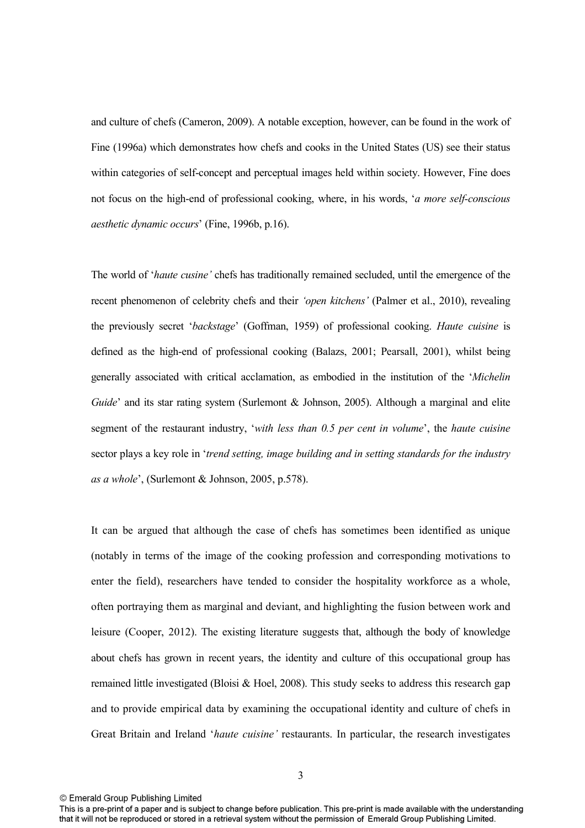and culture of chefs (Cameron, 2009). A notable exception, however, can be found in the work of Fine (1996a) which demonstrates how chefs and cooks in the United States (US) see their status within categories of self-concept and perceptual images held within society. However, Fine does not focus on the high-end of professional cooking, where, in his words, '*a more self-conscious aesthetic dynamic occurs*' (Fine, 1996b, p.16).

The world of '*haute cusine'* chefs has traditionally remained secluded, until the emergence of the recent phenomenon of celebrity chefs and their *'open kitchens'* (Palmer et al., 2010), revealing the previously secret '*backstage*' (Goffman, 1959) of professional cooking. *Haute cuisine* is defined as the high-end of professional cooking (Balazs, 2001; Pearsall, 2001), whilst being generally associated with critical acclamation, as embodied in the institution of the '*Michelin Guide*' and its star rating system (Surlemont & Johnson, 2005). Although a marginal and elite segment of the restaurant industry, '*with less than 0.5 per cent in volume*', the *haute cuisine* sector plays a key role in '*trend setting, image building and in setting standards for the industry as a whole*', (Surlemont & Johnson, 2005, p.578).

It can be argued that although the case of chefs has sometimes been identified as unique (notably in terms of the image of the cooking profession and corresponding motivations to enter the field), researchers have tended to consider the hospitality workforce as a whole, often portraying them as marginal and deviant, and highlighting the fusion between work and leisure (Cooper, 2012). The existing literature suggests that, although the body of knowledge about chefs has grown in recent years, the identity and culture of this occupational group has remained little investigated (Bloisi & Hoel, 2008). This study seeks to address this research gap and to provide empirical data by examining the occupational identity and culture of chefs in Great Britain and Ireland '*haute cuisine'* restaurants. In particular, the research investigates

This is a pre-print of a paper and is subject to change before publication. This pre-print is made available with the understanding that it will not be reproduced or stored in a retrieval system without the permission of Emerald Group Publishing Limited.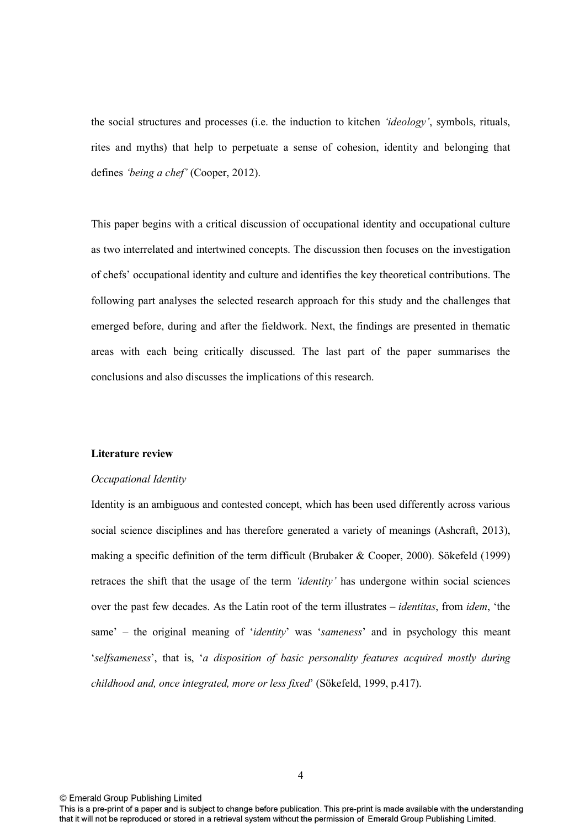the social structures and processes (i.e. the induction to kitchen *'ideology'*, symbols, rituals, rites and myths) that help to perpetuate a sense of cohesion, identity and belonging that defines *'being a chef'* (Cooper, 2012).

This paper begins with a critical discussion of occupational identity and occupational culture as two interrelated and intertwined concepts. The discussion then focuses on the investigation of chefs' occupational identity and culture and identifies the key theoretical contributions. The following part analyses the selected research approach for this study and the challenges that emerged before, during and after the fieldwork. Next, the findings are presented in thematic areas with each being critically discussed. The last part of the paper summarises the conclusions and also discusses the implications of this research.

#### **Literature review**

#### *Occupational Identity*

Identity is an ambiguous and contested concept, which has been used differently across various social science disciplines and has therefore generated a variety of meanings (Ashcraft, 2013), making a specific definition of the term difficult (Brubaker & Cooper, 2000). Sökefeld (1999) retraces the shift that the usage of the term *'identity'* has undergone within social sciences over the past few decades. As the Latin root of the term illustrates – *identitas*, from *idem*, 'the same' – the original meaning of '*identity*' was '*sameness*' and in psychology this meant '*selfsameness*', that is, '*a disposition of basic personality features acquired mostly during childhood and, once integrated, more or less fixed*' (Sökefeld, 1999, p.417).

This is a pre-print of a paper and is subject to change before publication. This pre-print is made available with the understanding that it will not be reproduced or stored in a retrieval system without the permission of Emerald Group Publishing Limited.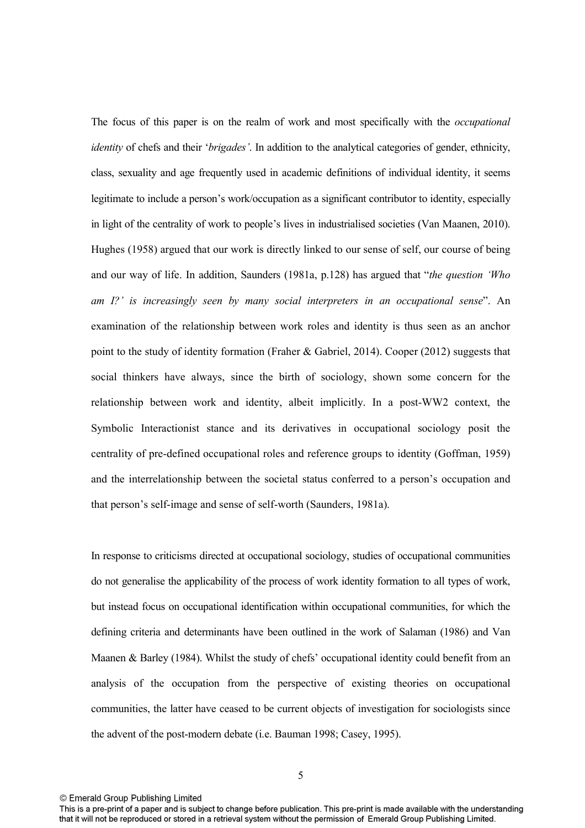The focus of this paper is on the realm of work and most specifically with the *occupational identity* of chefs and their '*brigades'*. In addition to the analytical categories of gender, ethnicity, class, sexuality and age frequently used in academic definitions of individual identity, it seems legitimate to include a person's work/occupation as a significant contributor to identity, especially in light of the centrality of work to people's lives in industrialised societies (Van Maanen, 2010). Hughes (1958) argued that our work is directly linked to our sense of self, our course of being and our way of life. In addition, Saunders (1981a, p.128) has argued that "*the question 'Who am I?' is increasingly seen by many social interpreters in an occupational sense*". An examination of the relationship between work roles and identity is thus seen as an anchor point to the study of identity formation (Fraher & Gabriel, 2014). Cooper (2012) suggests that social thinkers have always, since the birth of sociology, shown some concern for the relationship between work and identity, albeit implicitly. In a post-WW2 context, the Symbolic Interactionist stance and its derivatives in occupational sociology posit the centrality of pre-defined occupational roles and reference groups to identity (Goffman, 1959) and the interrelationship between the societal status conferred to a person's occupation and that person's self-image and sense of self-worth (Saunders, 1981a).

In response to criticisms directed at occupational sociology, studies of occupational communities do not generalise the applicability of the process of work identity formation to all types of work, but instead focus on occupational identification within occupational communities, for which the defining criteria and determinants have been outlined in the work of Salaman (1986) and Van Maanen & Barley (1984). Whilst the study of chefs' occupational identity could benefit from an analysis of the occupation from the perspective of existing theories on occupational communities, the latter have ceased to be current objects of investigation for sociologists since the advent of the post-modern debate (i.e. Bauman 1998; Casey, 1995).

This is a pre-print of a paper and is subject to change before publication. This pre-print is made available with the understanding that it will not be reproduced or stored in a retrieval system without the permission of Emerald Group Publishing Limited.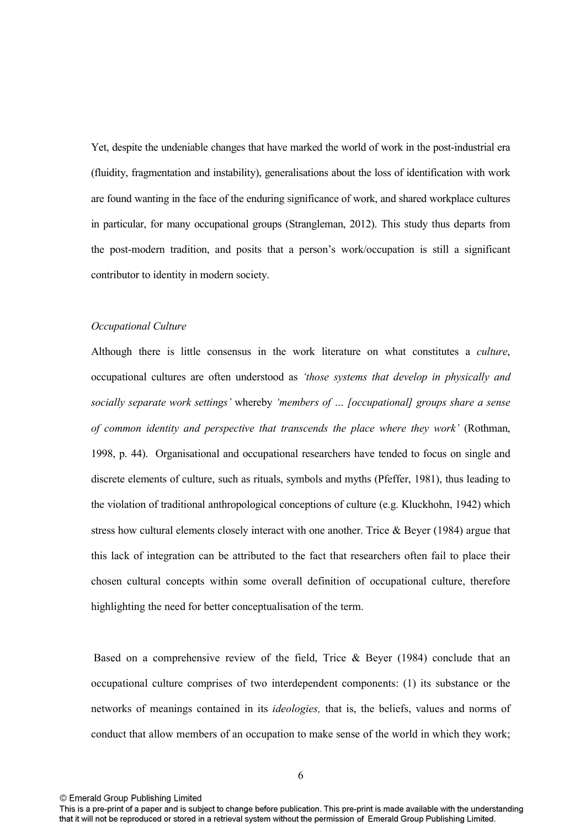Yet, despite the undeniable changes that have marked the world of work in the post-industrial era (fluidity, fragmentation and instability), generalisations about the loss of identification with work are found wanting in the face of the enduring significance of work, and shared workplace cultures in particular, for many occupational groups (Strangleman, 2012). This study thus departs from the post-modern tradition, and posits that a person's work/occupation is still a significant contributor to identity in modern society.

## *Occupational Culture*

Although there is little consensus in the work literature on what constitutes a *culture*, occupational cultures are often understood as *'those systems that develop in physically and socially separate work settings'* whereby *'members of … [occupational] groups share a sense of common identity and perspective that transcends the place where they work'* (Rothman, 1998, p. 44). Organisational and occupational researchers have tended to focus on single and discrete elements of culture, such as rituals, symbols and myths (Pfeffer, 1981), thus leading to the violation of traditional anthropological conceptions of culture (e.g. Kluckhohn, 1942) which stress how cultural elements closely interact with one another. Trice & Beyer (1984) argue that this lack of integration can be attributed to the fact that researchers often fail to place their chosen cultural concepts within some overall definition of occupational culture, therefore highlighting the need for better conceptualisation of the term.

 Based on a comprehensive review of the field, Trice & Beyer (1984) conclude that an occupational culture comprises of two interdependent components: (1) its substance or the networks of meanings contained in its *ideologies,* that is, the beliefs, values and norms of conduct that allow members of an occupation to make sense of the world in which they work;

This is a pre-print of a paper and is subject to change before publication. This pre-print is made available with the understanding that it will not be reproduced or stored in a retrieval system without the permission of Emerald Group Publishing Limited.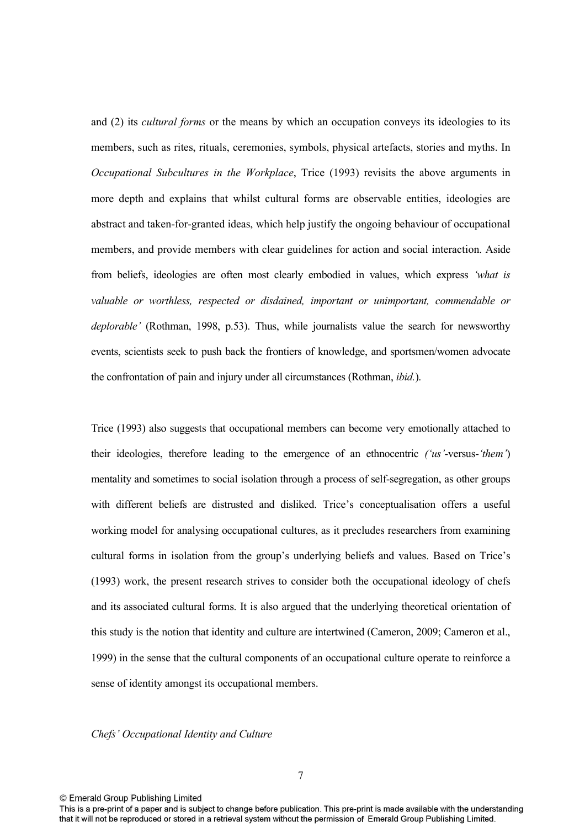and (2) its *cultural forms* or the means by which an occupation conveys its ideologies to its members, such as rites, rituals, ceremonies, symbols, physical artefacts, stories and myths. In *Occupational Subcultures in the Workplace*, Trice (1993) revisits the above arguments in more depth and explains that whilst cultural forms are observable entities, ideologies are abstract and taken-for-granted ideas, which help justify the ongoing behaviour of occupational members, and provide members with clear guidelines for action and social interaction. Aside from beliefs, ideologies are often most clearly embodied in values, which express *'what is valuable or worthless, respected or disdained, important or unimportant, commendable or deplorable'* (Rothman, 1998, p.53). Thus, while journalists value the search for newsworthy events, scientists seek to push back the frontiers of knowledge, and sportsmen/women advocate the confrontation of pain and injury under all circumstances (Rothman, *ibid.*).

Trice (1993) also suggests that occupational members can become very emotionally attached to their ideologies, therefore leading to the emergence of an ethnocentric *('us'*-versus-*'them'*) mentality and sometimes to social isolation through a process of self-segregation, as other groups with different beliefs are distrusted and disliked. Trice's conceptualisation offers a useful working model for analysing occupational cultures, as it precludes researchers from examining cultural forms in isolation from the group's underlying beliefs and values. Based on Trice's (1993) work, the present research strives to consider both the occupational ideology of chefs and its associated cultural forms. It is also argued that the underlying theoretical orientation of this study is the notion that identity and culture are intertwined (Cameron, 2009; Cameron et al., 1999) in the sense that the cultural components of an occupational culture operate to reinforce a sense of identity amongst its occupational members.

*Chefs' Occupational Identity and Culture* 

This is a pre-print of a paper and is subject to change before publication. This pre-print is made available with the understanding that it will not be reproduced or stored in a retrieval system without the permission of Emerald Group Publishing Limited.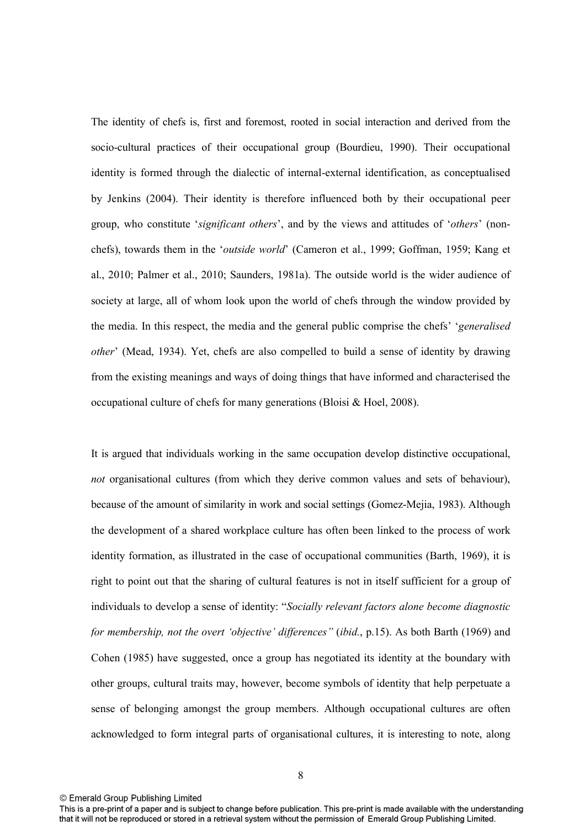The identity of chefs is, first and foremost, rooted in social interaction and derived from the socio-cultural practices of their occupational group (Bourdieu, 1990). Their occupational identity is formed through the dialectic of internal-external identification, as conceptualised by Jenkins (2004). Their identity is therefore influenced both by their occupational peer group, who constitute '*significant others*', and by the views and attitudes of '*others*' (nonchefs), towards them in the '*outside world*' (Cameron et al., 1999; Goffman, 1959; Kang et al., 2010; Palmer et al., 2010; Saunders, 1981a). The outside world is the wider audience of society at large, all of whom look upon the world of chefs through the window provided by the media. In this respect, the media and the general public comprise the chefs' '*generalised other*' (Mead, 1934). Yet, chefs are also compelled to build a sense of identity by drawing from the existing meanings and ways of doing things that have informed and characterised the occupational culture of chefs for many generations (Bloisi & Hoel, 2008).

It is argued that individuals working in the same occupation develop distinctive occupational, *not* organisational cultures (from which they derive common values and sets of behaviour), because of the amount of similarity in work and social settings (Gomez-Mejia, 1983). Although the development of a shared workplace culture has often been linked to the process of work identity formation, as illustrated in the case of occupational communities (Barth, 1969), it is right to point out that the sharing of cultural features is not in itself sufficient for a group of individuals to develop a sense of identity: "*Socially relevant factors alone become diagnostic for membership, not the overt 'objective' differences"* (*ibid.*, p.15). As both Barth (1969) and Cohen (1985) have suggested, once a group has negotiated its identity at the boundary with other groups, cultural traits may, however, become symbols of identity that help perpetuate a sense of belonging amongst the group members. Although occupational cultures are often acknowledged to form integral parts of organisational cultures, it is interesting to note, along

This is a pre-print of a paper and is subject to change before publication. This pre-print is made available with the understanding that it will not be reproduced or stored in a retrieval system without the permission of Emerald Group Publishing Limited.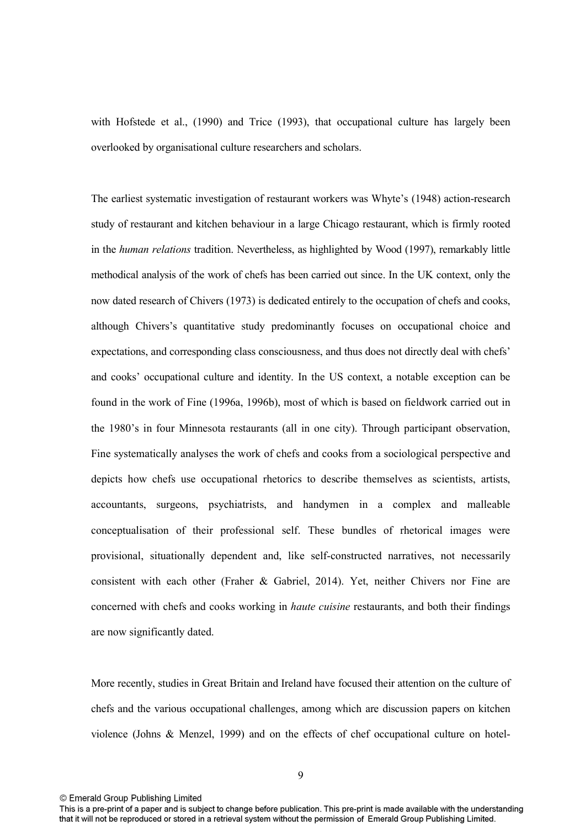with Hofstede et al., (1990) and Trice (1993), that occupational culture has largely been overlooked by organisational culture researchers and scholars.

The earliest systematic investigation of restaurant workers was Whyte's (1948) action-research study of restaurant and kitchen behaviour in a large Chicago restaurant, which is firmly rooted in the *human relations* tradition. Nevertheless, as highlighted by Wood (1997), remarkably little methodical analysis of the work of chefs has been carried out since. In the UK context, only the now dated research of Chivers (1973) is dedicated entirely to the occupation of chefs and cooks, although Chivers's quantitative study predominantly focuses on occupational choice and expectations, and corresponding class consciousness, and thus does not directly deal with chefs' and cooks' occupational culture and identity. In the US context, a notable exception can be found in the work of Fine (1996a, 1996b), most of which is based on fieldwork carried out in the 1980's in four Minnesota restaurants (all in one city). Through participant observation, Fine systematically analyses the work of chefs and cooks from a sociological perspective and depicts how chefs use occupational rhetorics to describe themselves as scientists, artists, accountants, surgeons, psychiatrists, and handymen in a complex and malleable conceptualisation of their professional self. These bundles of rhetorical images were provisional, situationally dependent and, like self-constructed narratives, not necessarily consistent with each other (Fraher & Gabriel, 2014). Yet, neither Chivers nor Fine are concerned with chefs and cooks working in *haute cuisine* restaurants, and both their findings are now significantly dated.

More recently, studies in Great Britain and Ireland have focused their attention on the culture of chefs and the various occupational challenges, among which are discussion papers on kitchen violence (Johns & Menzel, 1999) and on the effects of chef occupational culture on hotel-

This is a pre-print of a paper and is subject to change before publication. This pre-print is made available with the understanding that it will not be reproduced or stored in a retrieval system without the permission of Emerald Group Publishing Limited.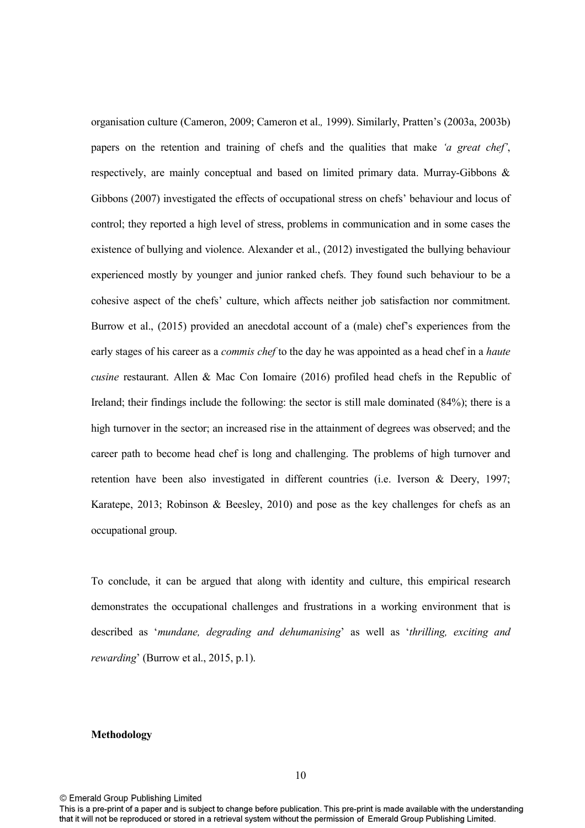organisation culture (Cameron, 2009; Cameron et al.*,* 1999). Similarly, Pratten's (2003a, 2003b) papers on the retention and training of chefs and the qualities that make *'a great chef'*, respectively, are mainly conceptual and based on limited primary data. Murray-Gibbons & Gibbons (2007) investigated the effects of occupational stress on chefs' behaviour and locus of control; they reported a high level of stress, problems in communication and in some cases the existence of bullying and violence. Alexander et al., (2012) investigated the bullying behaviour experienced mostly by younger and junior ranked chefs. They found such behaviour to be a cohesive aspect of the chefs' culture, which affects neither job satisfaction nor commitment. Burrow et al., (2015) provided an anecdotal account of a (male) chef's experiences from the early stages of his career as a *commis chef* to the day he was appointed as a head chef in a *haute cusine* restaurant. Allen & Mac Con Iomaire (2016) profiled head chefs in the Republic of Ireland; their findings include the following: the sector is still male dominated (84%); there is a high turnover in the sector; an increased rise in the attainment of degrees was observed; and the career path to become head chef is long and challenging. The problems of high turnover and retention have been also investigated in different countries (i.e. Iverson & Deery, 1997; Karatepe, 2013; Robinson & Beesley, 2010) and pose as the key challenges for chefs as an occupational group.

To conclude, it can be argued that along with identity and culture, this empirical research demonstrates the occupational challenges and frustrations in a working environment that is described as '*mundane, degrading and dehumanising*' as well as '*thrilling, exciting and rewarding*' (Burrow et al., 2015, p.1).

#### **Methodology**

This is a pre-print of a paper and is subject to change before publication. This pre-print is made available with the understanding that it will not be reproduced or stored in a retrieval system without the permission of Emerald Group Publishing Limited.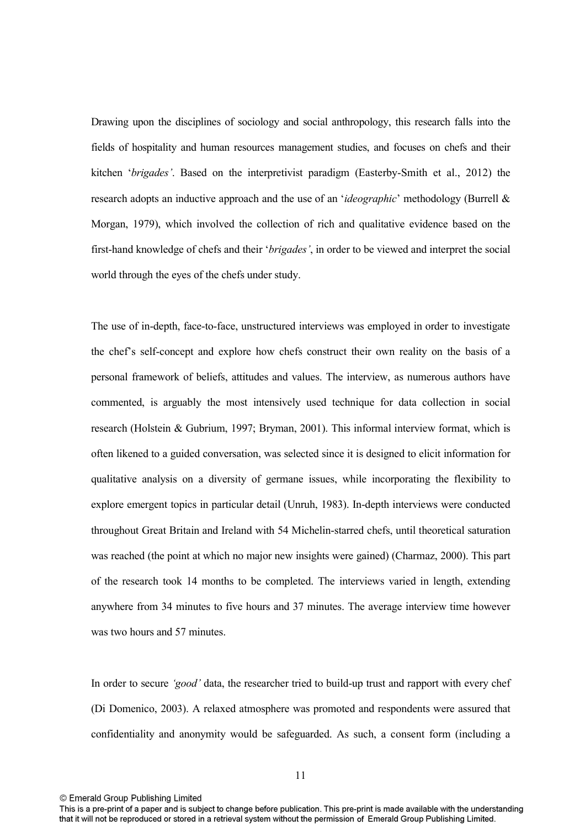Drawing upon the disciplines of sociology and social anthropology, this research falls into the fields of hospitality and human resources management studies, and focuses on chefs and their kitchen '*brigades'*. Based on the interpretivist paradigm (Easterby-Smith et al., 2012) the research adopts an inductive approach and the use of an '*ideographic*' methodology (Burrell & Morgan, 1979), which involved the collection of rich and qualitative evidence based on the first-hand knowledge of chefs and their '*brigades'*, in order to be viewed and interpret the social world through the eyes of the chefs under study.

The use of in-depth, face-to-face, unstructured interviews was employed in order to investigate the chef's self-concept and explore how chefs construct their own reality on the basis of a personal framework of beliefs, attitudes and values. The interview, as numerous authors have commented, is arguably the most intensively used technique for data collection in social research (Holstein & Gubrium, 1997; Bryman, 2001). This informal interview format, which is often likened to a guided conversation, was selected since it is designed to elicit information for qualitative analysis on a diversity of germane issues, while incorporating the flexibility to explore emergent topics in particular detail (Unruh, 1983). In-depth interviews were conducted throughout Great Britain and Ireland with 54 Michelin-starred chefs, until theoretical saturation was reached (the point at which no major new insights were gained) (Charmaz, 2000). This part of the research took 14 months to be completed. The interviews varied in length, extending anywhere from 34 minutes to five hours and 37 minutes. The average interview time however was two hours and 57 minutes.

In order to secure *'good'* data, the researcher tried to build-up trust and rapport with every chef (Di Domenico, 2003). A relaxed atmosphere was promoted and respondents were assured that confidentiality and anonymity would be safeguarded. As such, a consent form (including a

This is a pre-print of a paper and is subject to change before publication. This pre-print is made available with the understanding that it will not be reproduced or stored in a retrieval system without the permission of Emerald Group Publishing Limited.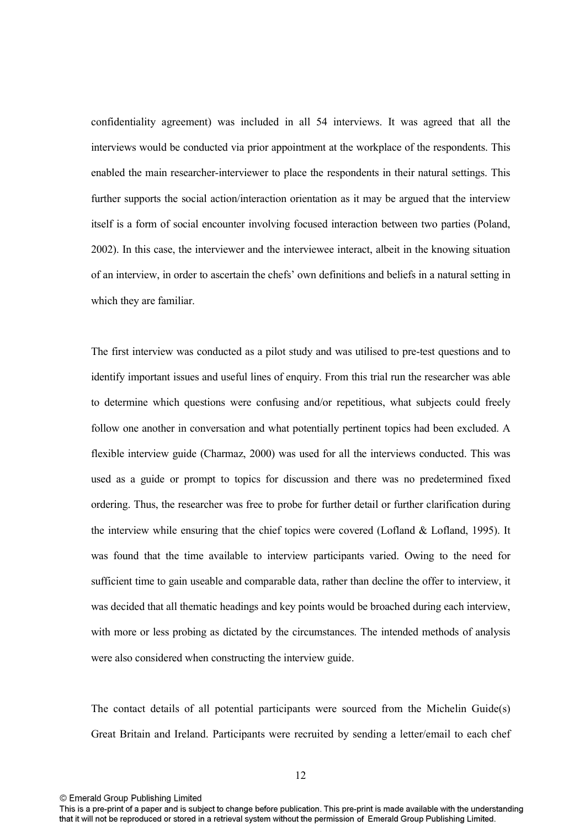confidentiality agreement) was included in all 54 interviews. It was agreed that all the interviews would be conducted via prior appointment at the workplace of the respondents. This enabled the main researcher-interviewer to place the respondents in their natural settings. This further supports the social action/interaction orientation as it may be argued that the interview itself is a form of social encounter involving focused interaction between two parties (Poland, 2002). In this case, the interviewer and the interviewee interact, albeit in the knowing situation of an interview, in order to ascertain the chefs' own definitions and beliefs in a natural setting in which they are familiar.

The first interview was conducted as a pilot study and was utilised to pre-test questions and to identify important issues and useful lines of enquiry. From this trial run the researcher was able to determine which questions were confusing and/or repetitious, what subjects could freely follow one another in conversation and what potentially pertinent topics had been excluded. A flexible interview guide (Charmaz, 2000) was used for all the interviews conducted. This was used as a guide or prompt to topics for discussion and there was no predetermined fixed ordering. Thus, the researcher was free to probe for further detail or further clarification during the interview while ensuring that the chief topics were covered (Lofland & Lofland, 1995). It was found that the time available to interview participants varied. Owing to the need for sufficient time to gain useable and comparable data, rather than decline the offer to interview, it was decided that all thematic headings and key points would be broached during each interview, with more or less probing as dictated by the circumstances. The intended methods of analysis were also considered when constructing the interview guide.

The contact details of all potential participants were sourced from the Michelin Guide(s) Great Britain and Ireland. Participants were recruited by sending a letter/email to each chef

This is a pre-print of a paper and is subject to change before publication. This pre-print is made available with the understanding that it will not be reproduced or stored in a retrieval system without the permission of Emerald Group Publishing Limited.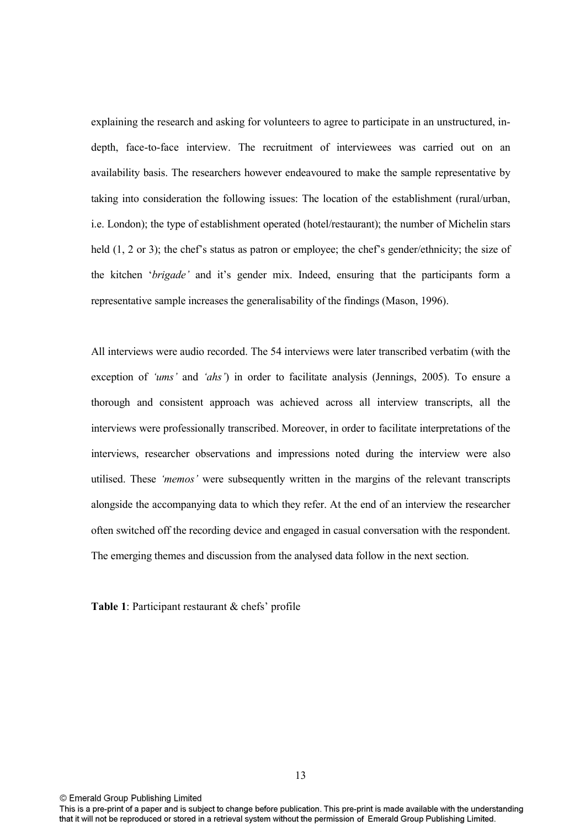explaining the research and asking for volunteers to agree to participate in an unstructured, indepth, face-to-face interview. The recruitment of interviewees was carried out on an availability basis. The researchers however endeavoured to make the sample representative by taking into consideration the following issues: The location of the establishment (rural/urban, i.e. London); the type of establishment operated (hotel/restaurant); the number of Michelin stars held (1, 2 or 3); the chef's status as patron or employee; the chef's gender/ethnicity; the size of the kitchen '*brigade'* and it's gender mix. Indeed, ensuring that the participants form a representative sample increases the generalisability of the findings (Mason, 1996).

All interviews were audio recorded. The 54 interviews were later transcribed verbatim (with the exception of *'ums'* and *'ahs'*) in order to facilitate analysis (Jennings, 2005). To ensure a thorough and consistent approach was achieved across all interview transcripts, all the interviews were professionally transcribed. Moreover, in order to facilitate interpretations of the interviews, researcher observations and impressions noted during the interview were also utilised. These *'memos'* were subsequently written in the margins of the relevant transcripts alongside the accompanying data to which they refer. At the end of an interview the researcher often switched off the recording device and engaged in casual conversation with the respondent. The emerging themes and discussion from the analysed data follow in the next section.

**Table 1**: Participant restaurant & chefs' profile

This is a pre-print of a paper and is subject to change before publication. This pre-print is made available with the understanding that it will not be reproduced or stored in a retrieval system without the permission of Emerald Group Publishing Limited.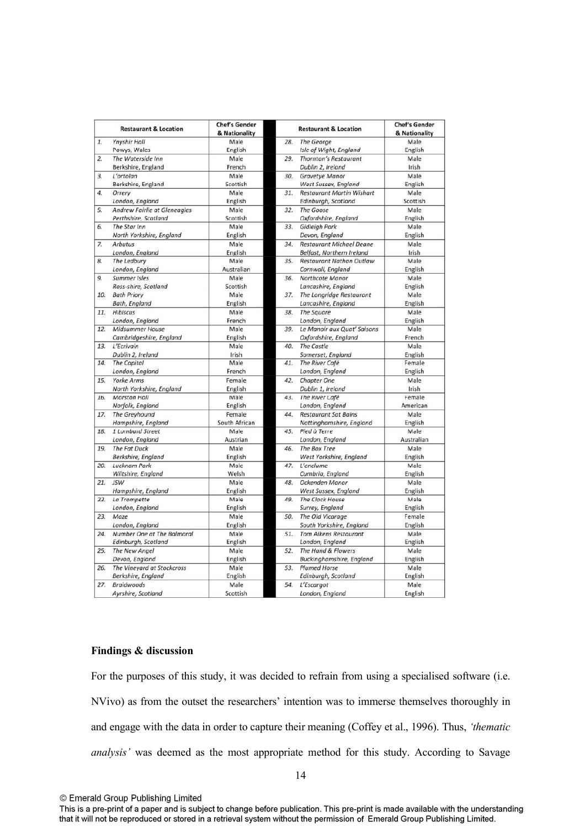|                   | <b>Restaurant &amp; Location</b> | <b>Chef's Gender</b><br>& Nationality |     | <b>Restaurant &amp; Location</b> | <b>Chef's Gender</b><br>& Nationality |
|-------------------|----------------------------------|---------------------------------------|-----|----------------------------------|---------------------------------------|
| 1.                | Ynyshir Hall                     | Male                                  | 28. | The George                       | Male                                  |
|                   | Powys, Wales                     | English                               |     | Isle of Wight, England           | English                               |
| $\overline{2}$ .  | The Waterside Inn                | Male                                  | 29. | <b>Thornton's Restaurant</b>     | Male                                  |
|                   | Berkshire, England               | French                                |     | Dublin 2, Ireland                | Irish                                 |
| 3.                | L'ortolan                        | Male                                  | 30. | <b>Gravetye Manor</b>            | Male                                  |
|                   | Berkshire, England               | Scottish                              |     | West Sussex, England             | English                               |
| 4.                | Orrery                           | Male                                  | 31. | <b>Restaurant Martin Wishart</b> | Male                                  |
|                   | London, England                  | English                               |     | Edinburgh, Scotland              | Scottish                              |
| 5.                | Andrew Fairlie at Gleneagles     | Male                                  | 32. | The Goose                        | Male                                  |
|                   | Perthshire, Scotland             | Scottish                              |     | Oxfordshire, England             | English                               |
| 6.                | The Star Inn                     | Male                                  | 33. | <b>Gidleigh Park</b>             | Male                                  |
|                   | North Yorkshire, England         | English                               |     | Devon, England                   | English                               |
| $\mathcal{I}$     | <b>Arbutus</b>                   | Male                                  | 34. | <b>Restaurant Michael Deane</b>  | Male                                  |
|                   | London, England                  | English                               |     | Belfast, Northern Ireland        | Irish                                 |
| 8.                | The Ledbury                      | Male                                  | 35. | <b>Restaurant Nathan Outlaw</b>  | Male                                  |
|                   | London, England                  | Australian                            |     | Cornwall, England                | English                               |
| 9.                | <b>Summer Isles</b>              | Male                                  | 36. | Northcote Manor                  | Male                                  |
|                   | Ross-shire, Scotland             | Scottish                              |     | Lancashire, England              | English                               |
| 10.               | <b>Bath Priory</b>               | Male                                  | 37. | The Longridge Restaurant         | Male                                  |
|                   | Bath, England                    | English                               |     | Lancashire, England              | English                               |
| 11.<br>12.        | <b>Hibiscus</b>                  | Male                                  | 38. | The Square                       | Male                                  |
|                   | London, England                  | French                                |     | London, England                  | English                               |
|                   | <b>Midsummer House</b>           | Male                                  | 39. | Le Manoir aux Quat' Saisons      | Male                                  |
|                   | Cambridgeshire, England          | English                               |     | Oxfordshire, England             | French                                |
| 13.               | L'Ecrivain                       | Male                                  | 40. | The Castle                       | Male                                  |
|                   | Dublin 2, Ireland                | Irish                                 |     | Somerset, England                | English                               |
| 14.               | <b>The Capital</b>               | Male                                  | 41. | The River Café                   | Female                                |
|                   | London, England                  | French                                |     | London, England                  | English                               |
| 15.               | Yorke Arms                       | Female                                | 42. | Chapter One                      | Male                                  |
|                   | North Yorkshire, England         | English                               |     | Dublin 1, Ireland                | Irish                                 |
| 16.               | <b>Morston Hall</b>              | Male                                  | 43. | The River Café                   | Female                                |
|                   | Norfolk, England                 | English                               |     | London, England                  | American                              |
| 17.               | The Greyhound                    | Female                                | 44. | <b>Restaurant Sat Bains</b>      | Male                                  |
|                   | Hampshire, England               | South African                         |     | Nottinghamshire, England         | English                               |
| 18.<br>19.        | 1 Lombard Street                 | Male                                  | 45. | Pied à Terre                     | Male                                  |
|                   | London, England                  | Austrian                              |     | London, England                  | Australian                            |
|                   | <b>The Fat Duck</b>              | Male                                  | 46. | The Box Tree                     | Male                                  |
|                   | Berkshire, England               | English                               |     | West Yorkshire, England          | English                               |
| 20.               | Lucknam Park                     | Male                                  | 47. | L'enclume                        | Male                                  |
|                   | Wiltshire, England               | Welsh                                 |     | Cumbria, England                 | English                               |
| 21.               | <b>JSW</b>                       | Male                                  | 48. | Ockenden Manor                   | Male                                  |
| 22.               | Hampshire, England               | English                               |     | West Sussex, England             | English                               |
|                   | La Trompette                     | Male                                  | 49. | The Clock House                  | Male                                  |
|                   | London, England                  | English                               |     | Surrey, England                  | English                               |
| 23.<br>24.<br>25. | Maze                             | Male                                  | 50. | The Old Vicarage                 | Female                                |
|                   | London, England                  | English                               |     | South Yorkshire, England         | English                               |
|                   | Number One at The Balmoral       | Male                                  | 51. | <b>Tom Aikens Restaurant</b>     | Male                                  |
|                   | Edinburgh, Scotland              | English                               |     | London, England                  | English                               |
|                   | The New Angel                    | Male                                  | 52. | The Hand & Flowers               | Male                                  |
|                   | Devon, England                   | English                               |     | Buckinghamshire, England         | English                               |
| 26.               | The Vinevard at Stockcross       | Male                                  | 53. | <b>Plumed Horse</b>              | Male                                  |
|                   | Berkshire, England               | English                               |     | Edinburgh, Scotland              | English                               |
| 27.               | <b>Braidwoods</b>                | Male                                  | 54. | L'Escargot                       | Male                                  |
|                   | Ayrshire, Scotland               | Scottish                              |     | London, England                  | English                               |
|                   |                                  |                                       |     |                                  |                                       |

# **Findings & discussion**

For the purposes of this study, it was decided to refrain from using a specialised software (i.e. NVivo) as from the outset the researchers' intention was to immerse themselves thoroughly in and engage with the data in order to capture their meaning (Coffey et al., 1996). Thus, *'thematic analysis'* was deemed as the most appropriate method for this study. According to Savage

This is a pre-print of a paper and is subject to change before publication. This pre-print is made available with the understanding that it will not be reproduced or stored in a retrieval system without the permission of Emerald Group Publishing Limited.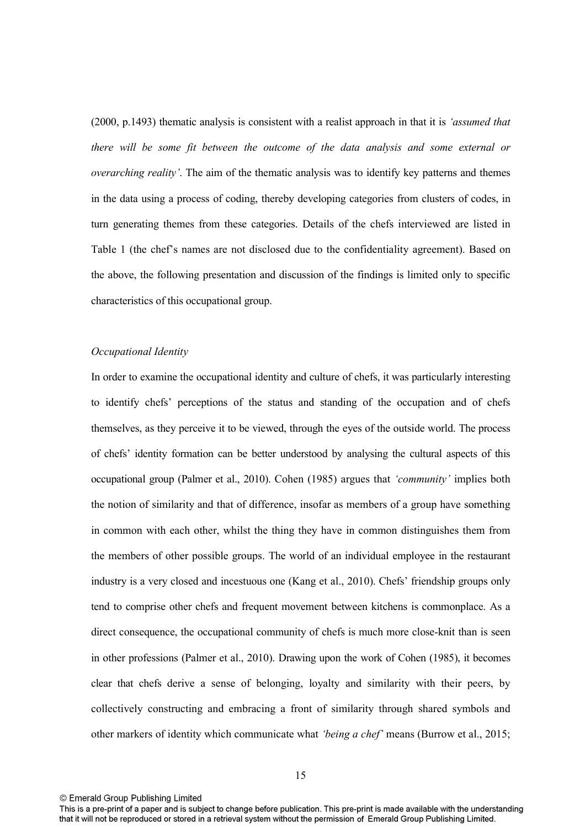(2000, p.1493) thematic analysis is consistent with a realist approach in that it is *'assumed that there will be some fit between the outcome of the data analysis and some external or overarching reality'*. The aim of the thematic analysis was to identify key patterns and themes in the data using a process of coding, thereby developing categories from clusters of codes, in turn generating themes from these categories. Details of the chefs interviewed are listed in Table 1 (the chef's names are not disclosed due to the confidentiality agreement). Based on the above, the following presentation and discussion of the findings is limited only to specific characteristics of this occupational group.

# *Occupational Identity*

In order to examine the occupational identity and culture of chefs, it was particularly interesting to identify chefs' perceptions of the status and standing of the occupation and of chefs themselves, as they perceive it to be viewed, through the eyes of the outside world. The process of chefs' identity formation can be better understood by analysing the cultural aspects of this occupational group (Palmer et al., 2010). Cohen (1985) argues that *'community'* implies both the notion of similarity and that of difference, insofar as members of a group have something in common with each other, whilst the thing they have in common distinguishes them from the members of other possible groups. The world of an individual employee in the restaurant industry is a very closed and incestuous one (Kang et al., 2010). Chefs' friendship groups only tend to comprise other chefs and frequent movement between kitchens is commonplace. As a direct consequence, the occupational community of chefs is much more close-knit than is seen in other professions (Palmer et al., 2010). Drawing upon the work of Cohen (1985), it becomes clear that chefs derive a sense of belonging, loyalty and similarity with their peers, by collectively constructing and embracing a front of similarity through shared symbols and other markers of identity which communicate what *'being a chef'* means (Burrow et al., 2015;

This is a pre-print of a paper and is subject to change before publication. This pre-print is made available with the understanding that it will not be reproduced or stored in a retrieval system without the permission of Emerald Group Publishing Limited.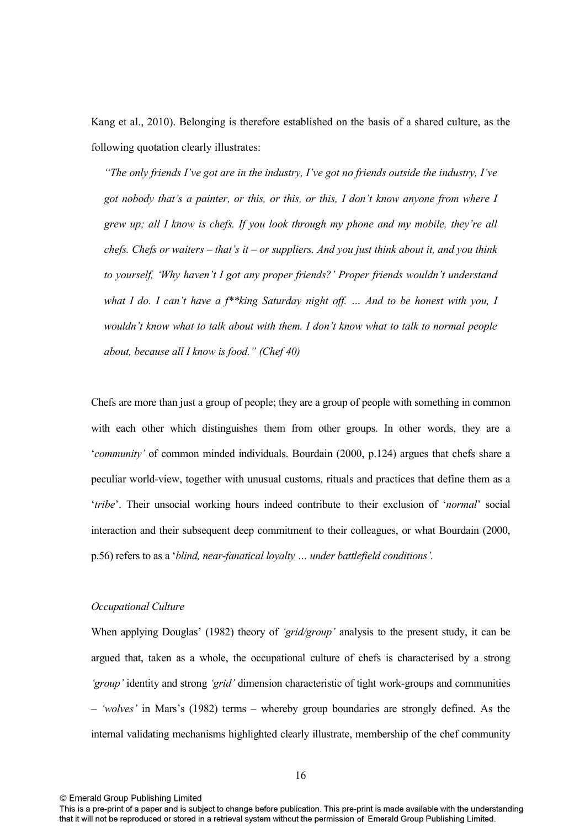Kang et al., 2010). Belonging is therefore established on the basis of a shared culture, as the following quotation clearly illustrates:

*"The only friends I've got are in the industry, I've got no friends outside the industry, I've got nobody that's a painter, or this, or this, or this, I don't know anyone from where I grew up; all I know is chefs. If you look through my phone and my mobile, they're all chefs. Chefs or waiters – that's it – or suppliers. And you just think about it, and you think to yourself, 'Why haven't I got any proper friends?' Proper friends wouldn't understand what I do. I can't have a f\*\*king Saturday night off. … And to be honest with you, I wouldn't know what to talk about with them. I don't know what to talk to normal people about, because all I know is food." (Chef 40)* 

Chefs are more than just a group of people; they are a group of people with something in common with each other which distinguishes them from other groups. In other words, they are a '*community'* of common minded individuals. Bourdain (2000, p.124) argues that chefs share a peculiar world-view, together with unusual customs, rituals and practices that define them as a '*tribe*'. Their unsocial working hours indeed contribute to their exclusion of '*normal*' social interaction and their subsequent deep commitment to their colleagues, or what Bourdain (2000, p.56) refers to as a '*blind, near-fanatical loyalty … under battlefield conditions'.*

#### *Occupational Culture*

When applying Douglas' (1982) theory of *'grid/group'* analysis to the present study, it can be argued that, taken as a whole, the occupational culture of chefs is characterised by a strong *'group'* identity and strong *'grid'* dimension characteristic of tight work-groups and communities – *'wolves'* in Mars's (1982) terms – whereby group boundaries are strongly defined. As the internal validating mechanisms highlighted clearly illustrate, membership of the chef community

This is a pre-print of a paper and is subject to change before publication. This pre-print is made available with the understanding that it will not be reproduced or stored in a retrieval system without the permission of Emerald Group Publishing Limited.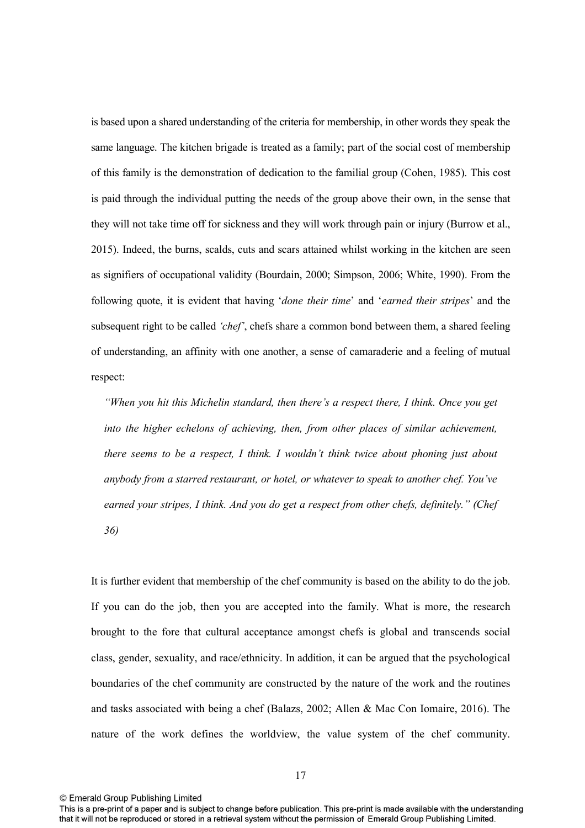is based upon a shared understanding of the criteria for membership, in other words they speak the same language. The kitchen brigade is treated as a family; part of the social cost of membership of this family is the demonstration of dedication to the familial group (Cohen, 1985). This cost is paid through the individual putting the needs of the group above their own, in the sense that they will not take time off for sickness and they will work through pain or injury (Burrow et al., 2015). Indeed, the burns, scalds, cuts and scars attained whilst working in the kitchen are seen as signifiers of occupational validity (Bourdain, 2000; Simpson, 2006; White, 1990). From the following quote, it is evident that having '*done their time*' and '*earned their stripes*' and the subsequent right to be called *'chef'*, chefs share a common bond between them, a shared feeling of understanding, an affinity with one another, a sense of camaraderie and a feeling of mutual respect:

*"When you hit this Michelin standard, then there's a respect there, I think. Once you get into the higher echelons of achieving, then, from other places of similar achievement, there seems to be a respect, I think. I wouldn't think twice about phoning just about anybody from a starred restaurant, or hotel, or whatever to speak to another chef. You've earned your stripes, I think. And you do get a respect from other chefs, definitely." (Chef 36)* 

It is further evident that membership of the chef community is based on the ability to do the job. If you can do the job, then you are accepted into the family. What is more, the research brought to the fore that cultural acceptance amongst chefs is global and transcends social class, gender, sexuality, and race/ethnicity. In addition, it can be argued that the psychological boundaries of the chef community are constructed by the nature of the work and the routines and tasks associated with being a chef (Balazs, 2002; Allen & Mac Con Iomaire, 2016). The nature of the work defines the worldview, the value system of the chef community.

This is a pre-print of a paper and is subject to change before publication. This pre-print is made available with the understanding that it will not be reproduced or stored in a retrieval system without the permission of Emerald Group Publishing Limited.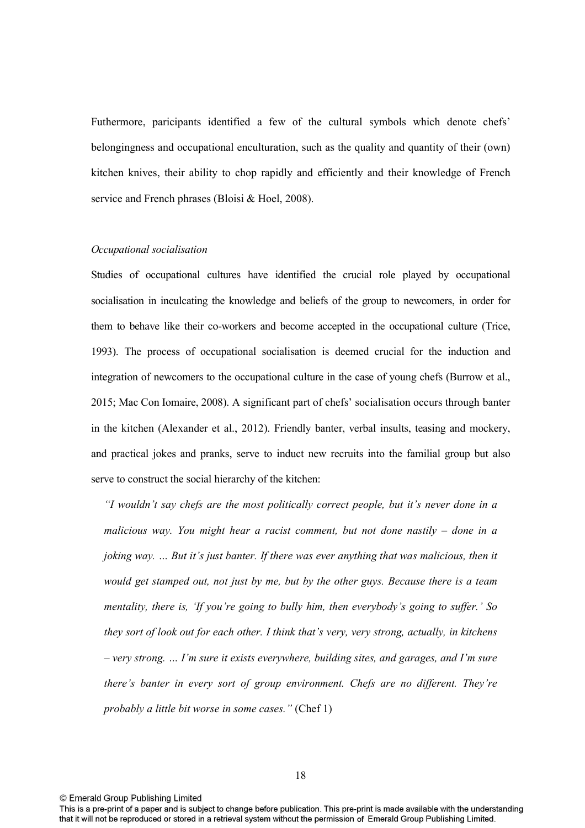Futhermore, paricipants identified a few of the cultural symbols which denote chefs' belongingness and occupational enculturation, such as the quality and quantity of their (own) kitchen knives, their ability to chop rapidly and efficiently and their knowledge of French service and French phrases (Bloisi & Hoel, 2008).

#### *Occupational socialisation*

Studies of occupational cultures have identified the crucial role played by occupational socialisation in inculcating the knowledge and beliefs of the group to newcomers, in order for them to behave like their co-workers and become accepted in the occupational culture (Trice, 1993). The process of occupational socialisation is deemed crucial for the induction and integration of newcomers to the occupational culture in the case of young chefs (Burrow et al., 2015; Mac Con Iomaire, 2008). A significant part of chefs' socialisation occurs through banter in the kitchen (Alexander et al., 2012). Friendly banter, verbal insults, teasing and mockery, and practical jokes and pranks, serve to induct new recruits into the familial group but also serve to construct the social hierarchy of the kitchen:

*"I wouldn't say chefs are the most politically correct people, but it's never done in a malicious way. You might hear a racist comment, but not done nastily – done in a joking way. ... But it's just banter. If there was ever anything that was malicious, then it would get stamped out, not just by me, but by the other guys. Because there is a team mentality, there is, 'If you're going to bully him, then everybody's going to suffer.' So they sort of look out for each other. I think that's very, very strong, actually, in kitchens – very strong. … I'm sure it exists everywhere, building sites, and garages, and I'm sure there's banter in every sort of group environment. Chefs are no different. They're probably a little bit worse in some cases."* (Chef 1)

This is a pre-print of a paper and is subject to change before publication. This pre-print is made available with the understanding that it will not be reproduced or stored in a retrieval system without the permission of Emerald Group Publishing Limited.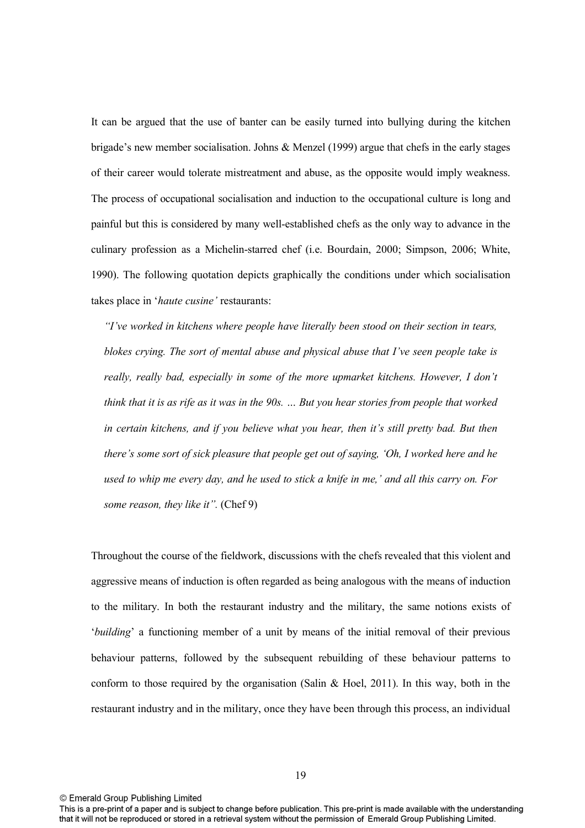It can be argued that the use of banter can be easily turned into bullying during the kitchen brigade's new member socialisation. Johns & Menzel (1999) argue that chefs in the early stages of their career would tolerate mistreatment and abuse, as the opposite would imply weakness. The process of occupational socialisation and induction to the occupational culture is long and painful but this is considered by many well-established chefs as the only way to advance in the culinary profession as a Michelin-starred chef (i.e. Bourdain, 2000; Simpson, 2006; White, 1990). The following quotation depicts graphically the conditions under which socialisation takes place in '*haute cusine'* restaurants:

*"I've worked in kitchens where people have literally been stood on their section in tears, blokes crying. The sort of mental abuse and physical abuse that I've seen people take is really, really bad, especially in some of the more upmarket kitchens. However, I don't think that it is as rife as it was in the 90s. … But you hear stories from people that worked in certain kitchens, and if you believe what you hear, then it's still pretty bad. But then there's some sort of sick pleasure that people get out of saying, 'Oh, I worked here and he used to whip me every day, and he used to stick a knife in me,' and all this carry on. For some reason, they like it".* (Chef 9)

Throughout the course of the fieldwork, discussions with the chefs revealed that this violent and aggressive means of induction is often regarded as being analogous with the means of induction to the military. In both the restaurant industry and the military, the same notions exists of '*building*' a functioning member of a unit by means of the initial removal of their previous behaviour patterns, followed by the subsequent rebuilding of these behaviour patterns to conform to those required by the organisation (Salin & Hoel, 2011). In this way, both in the restaurant industry and in the military, once they have been through this process, an individual

This is a pre-print of a paper and is subject to change before publication. This pre-print is made available with the understanding that it will not be reproduced or stored in a retrieval system without the permission of Emerald Group Publishing Limited.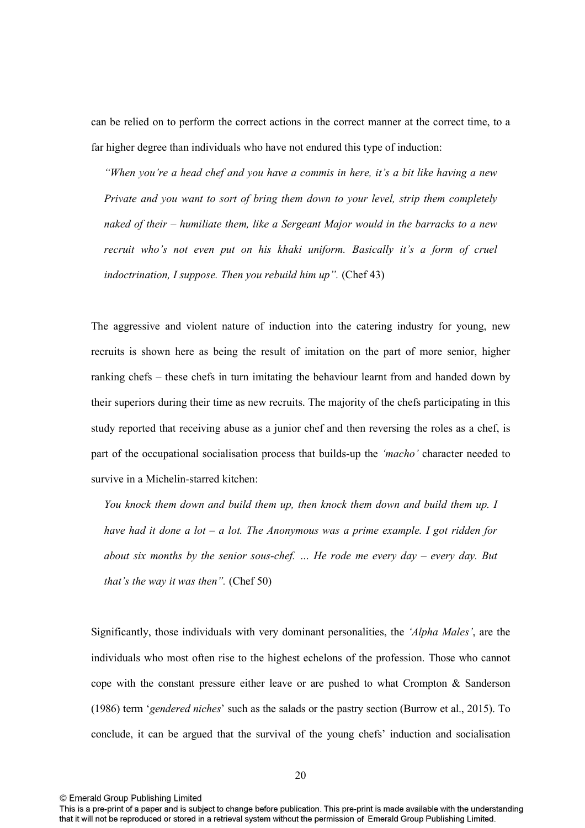can be relied on to perform the correct actions in the correct manner at the correct time, to a far higher degree than individuals who have not endured this type of induction:

*"When you're a head chef and you have a commis in here, it's a bit like having a new Private and you want to sort of bring them down to your level, strip them completely naked of their – humiliate them, like a Sergeant Major would in the barracks to a new recruit who's not even put on his khaki uniform. Basically it's a form of cruel indoctrination, I suppose. Then you rebuild him up".* (Chef 43)

The aggressive and violent nature of induction into the catering industry for young, new recruits is shown here as being the result of imitation on the part of more senior, higher ranking chefs – these chefs in turn imitating the behaviour learnt from and handed down by their superiors during their time as new recruits. The majority of the chefs participating in this study reported that receiving abuse as a junior chef and then reversing the roles as a chef, is part of the occupational socialisation process that builds-up the *'macho'* character needed to survive in a Michelin-starred kitchen:

*You knock them down and build them up, then knock them down and build them up. I have had it done a lot – a lot. The Anonymous was a prime example. I got ridden for about six months by the senior sous-chef. … He rode me every day – every day. But that's the way it was then".* (Chef 50)

Significantly, those individuals with very dominant personalities, the *'Alpha Males'*, are the individuals who most often rise to the highest echelons of the profession. Those who cannot cope with the constant pressure either leave or are pushed to what Crompton  $\&$  Sanderson (1986) term '*gendered niches*' such as the salads or the pastry section (Burrow et al., 2015). To conclude, it can be argued that the survival of the young chefs' induction and socialisation

This is a pre-print of a paper and is subject to change before publication. This pre-print is made available with the understanding that it will not be reproduced or stored in a retrieval system without the permission of Emerald Group Publishing Limited.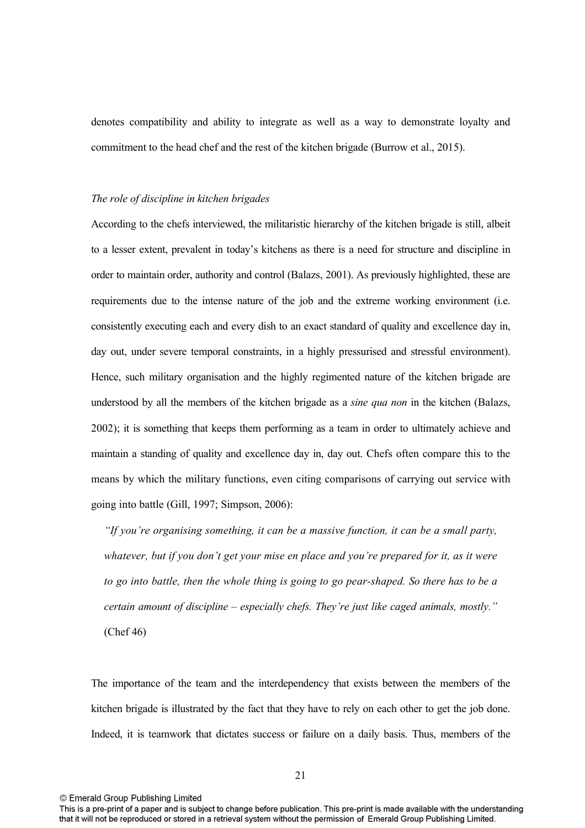denotes compatibility and ability to integrate as well as a way to demonstrate loyalty and commitment to the head chef and the rest of the kitchen brigade (Burrow et al., 2015).

# *The role of discipline in kitchen brigades*

According to the chefs interviewed, the militaristic hierarchy of the kitchen brigade is still, albeit to a lesser extent, prevalent in today's kitchens as there is a need for structure and discipline in order to maintain order, authority and control (Balazs, 2001). As previously highlighted, these are requirements due to the intense nature of the job and the extreme working environment (i.e. consistently executing each and every dish to an exact standard of quality and excellence day in, day out, under severe temporal constraints, in a highly pressurised and stressful environment). Hence, such military organisation and the highly regimented nature of the kitchen brigade are understood by all the members of the kitchen brigade as a *sine qua non* in the kitchen (Balazs, 2002); it is something that keeps them performing as a team in order to ultimately achieve and maintain a standing of quality and excellence day in, day out. Chefs often compare this to the means by which the military functions, even citing comparisons of carrying out service with going into battle (Gill, 1997; Simpson, 2006):

*"If you're organising something, it can be a massive function, it can be a small party, whatever, but if you don't get your mise en place and you're prepared for it, as it were to go into battle, then the whole thing is going to go pear-shaped. So there has to be a certain amount of discipline – especially chefs. They're just like caged animals, mostly."*  (Chef 46)

The importance of the team and the interdependency that exists between the members of the kitchen brigade is illustrated by the fact that they have to rely on each other to get the job done. Indeed, it is teamwork that dictates success or failure on a daily basis. Thus, members of the

This is a pre-print of a paper and is subject to change before publication. This pre-print is made available with the understanding that it will not be reproduced or stored in a retrieval system without the permission of Emerald Group Publishing Limited.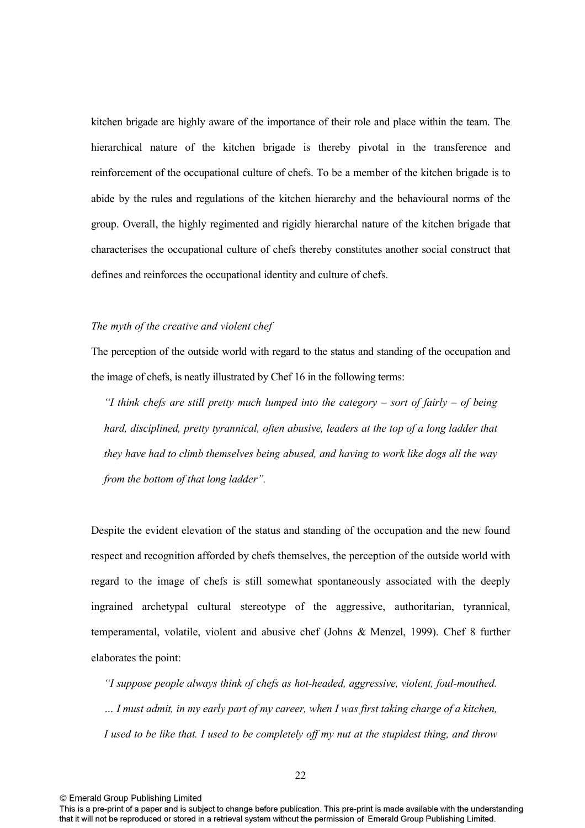kitchen brigade are highly aware of the importance of their role and place within the team. The hierarchical nature of the kitchen brigade is thereby pivotal in the transference and reinforcement of the occupational culture of chefs. To be a member of the kitchen brigade is to abide by the rules and regulations of the kitchen hierarchy and the behavioural norms of the group. Overall, the highly regimented and rigidly hierarchal nature of the kitchen brigade that characterises the occupational culture of chefs thereby constitutes another social construct that defines and reinforces the occupational identity and culture of chefs.

#### *The myth of the creative and violent chef*

The perception of the outside world with regard to the status and standing of the occupation and the image of chefs, is neatly illustrated by Chef 16 in the following terms:

*"I think chefs are still pretty much lumped into the category – sort of fairly – of being hard, disciplined, pretty tyrannical, often abusive, leaders at the top of a long ladder that they have had to climb themselves being abused, and having to work like dogs all the way from the bottom of that long ladder".* 

Despite the evident elevation of the status and standing of the occupation and the new found respect and recognition afforded by chefs themselves, the perception of the outside world with regard to the image of chefs is still somewhat spontaneously associated with the deeply ingrained archetypal cultural stereotype of the aggressive, authoritarian, tyrannical, temperamental, volatile, violent and abusive chef (Johns & Menzel, 1999). Chef 8 further elaborates the point:

*"I suppose people always think of chefs as hot-headed, aggressive, violent, foul-mouthed. … I must admit, in my early part of my career, when I was first taking charge of a kitchen, I used to be like that. I used to be completely off my nut at the stupidest thing, and throw* 

This is a pre-print of a paper and is subject to change before publication. This pre-print is made available with the understanding that it will not be reproduced or stored in a retrieval system without the permission of Emerald Group Publishing Limited.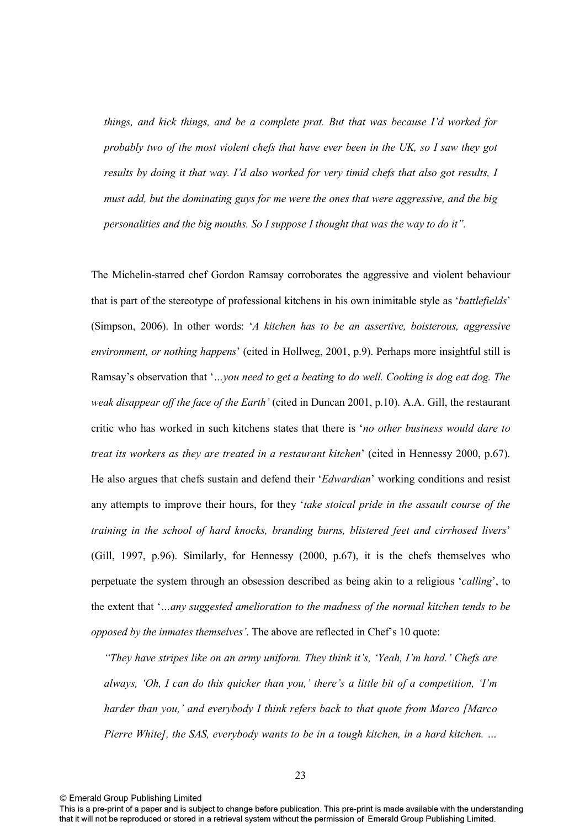*things, and kick things, and be a complete prat. But that was because I'd worked for probably two of the most violent chefs that have ever been in the UK, so I saw they got results by doing it that way. I'd also worked for very timid chefs that also got results, I must add, but the dominating guys for me were the ones that were aggressive, and the big personalities and the big mouths. So I suppose I thought that was the way to do it".* 

The Michelin-starred chef Gordon Ramsay corroborates the aggressive and violent behaviour that is part of the stereotype of professional kitchens in his own inimitable style as '*battlefields*' (Simpson, 2006). In other words: '*A kitchen has to be an assertive, boisterous, aggressive environment, or nothing happens*' (cited in Hollweg, 2001, p.9). Perhaps more insightful still is Ramsay's observation that '*…you need to get a beating to do well. Cooking is dog eat dog. The weak disappear off the face of the Earth'* (cited in Duncan 2001, p.10). A.A. Gill, the restaurant critic who has worked in such kitchens states that there is '*no other business would dare to treat its workers as they are treated in a restaurant kitchen*' (cited in Hennessy 2000, p.67). He also argues that chefs sustain and defend their '*Edwardian*' working conditions and resist any attempts to improve their hours, for they '*take stoical pride in the assault course of the training in the school of hard knocks, branding burns, blistered feet and cirrhosed livers*' (Gill, 1997, p.96). Similarly, for Hennessy (2000, p.67), it is the chefs themselves who perpetuate the system through an obsession described as being akin to a religious '*calling*', to the extent that '*…any suggested amelioration to the madness of the normal kitchen tends to be opposed by the inmates themselves'*. The above are reflected in Chef's 10 quote:

*"They have stripes like on an army uniform. They think it's, 'Yeah, I'm hard.' Chefs are always, 'Oh, I can do this quicker than you,' there's a little bit of a competition, 'I'm harder than you,' and everybody I think refers back to that quote from Marco [Marco Pierre White], the SAS, everybody wants to be in a tough kitchen, in a hard kitchen. …* 

This is a pre-print of a paper and is subject to change before publication. This pre-print is made available with the understanding that it will not be reproduced or stored in a retrieval system without the permission of Emerald Group Publishing Limited.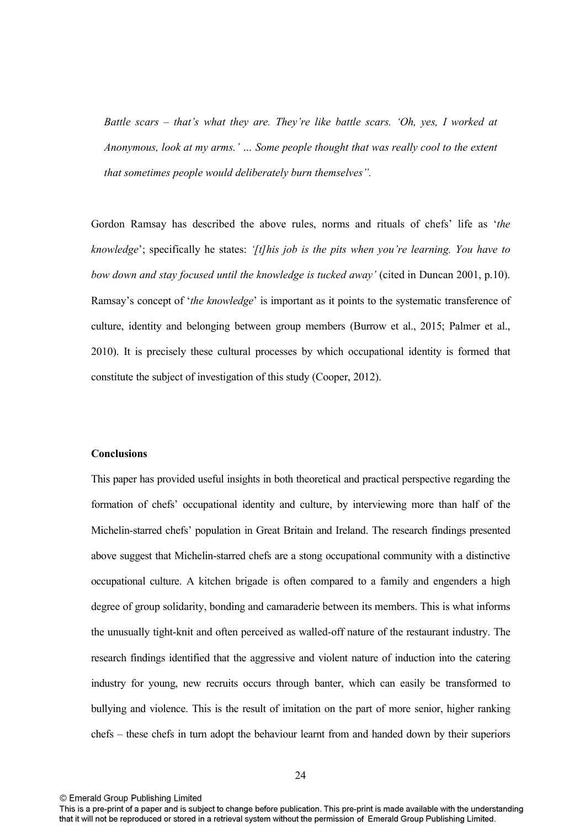*Battle scars – that's what they are. They're like battle scars. 'Oh, yes, I worked at Anonymous, look at my arms.' … Some people thought that was really cool to the extent that sometimes people would deliberately burn themselves".* 

Gordon Ramsay has described the above rules, norms and rituals of chefs' life as '*the knowledge*'; specifically he states: *'[t]his job is the pits when you're learning. You have to bow down and stay focused until the knowledge is tucked away'* (cited in Duncan 2001, p.10). Ramsay's concept of '*the knowledge*' is important as it points to the systematic transference of culture, identity and belonging between group members (Burrow et al., 2015; Palmer et al., 2010). It is precisely these cultural processes by which occupational identity is formed that constitute the subject of investigation of this study (Cooper, 2012).

# **Conclusions**

This paper has provided useful insights in both theoretical and practical perspective regarding the formation of chefs' occupational identity and culture, by interviewing more than half of the Michelin-starred chefs' population in Great Britain and Ireland. The research findings presented above suggest that Michelin-starred chefs are a stong occupational community with a distinctive occupational culture. A kitchen brigade is often compared to a family and engenders a high degree of group solidarity, bonding and camaraderie between its members. This is what informs the unusually tight-knit and often perceived as walled-off nature of the restaurant industry. The research findings identified that the aggressive and violent nature of induction into the catering industry for young, new recruits occurs through banter, which can easily be transformed to bullying and violence. This is the result of imitation on the part of more senior, higher ranking chefs – these chefs in turn adopt the behaviour learnt from and handed down by their superiors

This is a pre-print of a paper and is subject to change before publication. This pre-print is made available with the understanding that it will not be reproduced or stored in a retrieval system without the permission of Emerald Group Publishing Limited.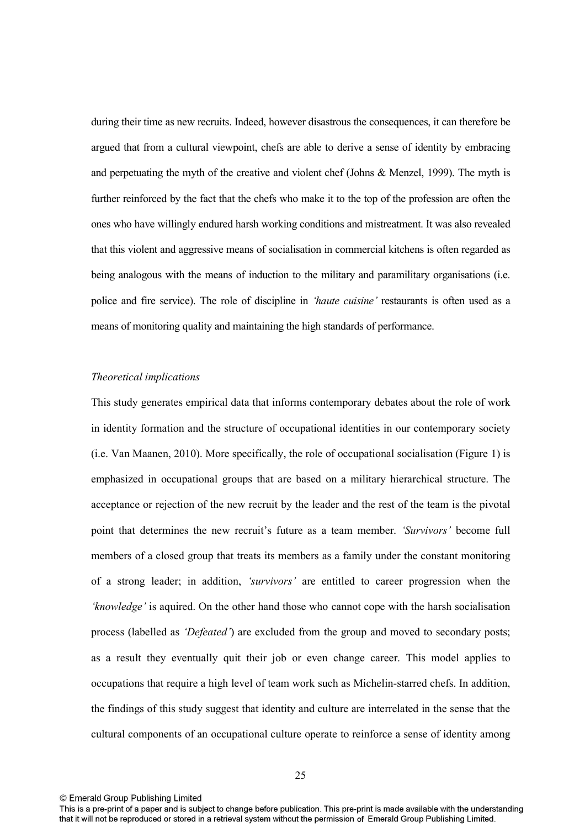during their time as new recruits. Indeed, however disastrous the consequences, it can therefore be argued that from a cultural viewpoint, chefs are able to derive a sense of identity by embracing and perpetuating the myth of the creative and violent chef (Johns & Menzel, 1999). The myth is further reinforced by the fact that the chefs who make it to the top of the profession are often the ones who have willingly endured harsh working conditions and mistreatment. It was also revealed that this violent and aggressive means of socialisation in commercial kitchens is often regarded as being analogous with the means of induction to the military and paramilitary organisations (i.e. police and fire service). The role of discipline in *'haute cuisine'* restaurants is often used as a means of monitoring quality and maintaining the high standards of performance.

#### *Theoretical implications*

This study generates empirical data that informs contemporary debates about the role of work in identity formation and the structure of occupational identities in our contemporary society (i.e. Van Maanen, 2010). More specifically, the role of occupational socialisation (Figure 1) is emphasized in occupational groups that are based on a military hierarchical structure. The acceptance or rejection of the new recruit by the leader and the rest of the team is the pivotal point that determines the new recruit's future as a team member. *'Survivors'* become full members of a closed group that treats its members as a family under the constant monitoring of a strong leader; in addition, *'survivors'* are entitled to career progression when the *'knowledge'* is aquired. On the other hand those who cannot cope with the harsh socialisation process (labelled as *'Defeated'*) are excluded from the group and moved to secondary posts; as a result they eventually quit their job or even change career. This model applies to occupations that require a high level of team work such as Michelin-starred chefs. In addition, the findings of this study suggest that identity and culture are interrelated in the sense that the cultural components of an occupational culture operate to reinforce a sense of identity among

This is a pre-print of a paper and is subject to change before publication. This pre-print is made available with the understanding that it will not be reproduced or stored in a retrieval system without the permission of Emerald Group Publishing Limited.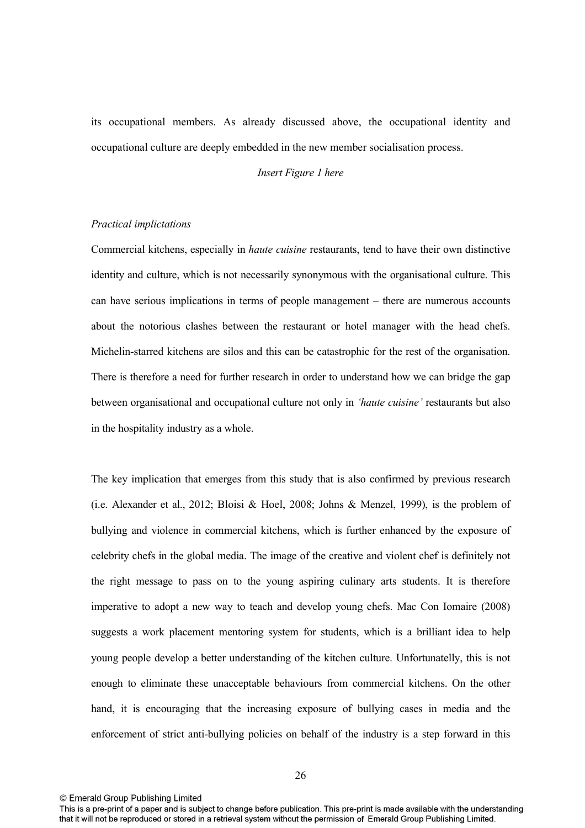its occupational members. As already discussed above, the occupational identity and occupational culture are deeply embedded in the new member socialisation process.

## *Insert Figure 1 here*

# *Practical implictations*

Commercial kitchens, especially in *haute cuisine* restaurants, tend to have their own distinctive identity and culture, which is not necessarily synonymous with the organisational culture. This can have serious implications in terms of people management – there are numerous accounts about the notorious clashes between the restaurant or hotel manager with the head chefs. Michelin-starred kitchens are silos and this can be catastrophic for the rest of the organisation. There is therefore a need for further research in order to understand how we can bridge the gap between organisational and occupational culture not only in *'haute cuisine'* restaurants but also in the hospitality industry as a whole.

The key implication that emerges from this study that is also confirmed by previous research (i.e. Alexander et al., 2012; Bloisi & Hoel, 2008; Johns & Menzel, 1999), is the problem of bullying and violence in commercial kitchens, which is further enhanced by the exposure of celebrity chefs in the global media. The image of the creative and violent chef is definitely not the right message to pass on to the young aspiring culinary arts students. It is therefore imperative to adopt a new way to teach and develop young chefs. Mac Con Iomaire (2008) suggests a work placement mentoring system for students, which is a brilliant idea to help young people develop a better understanding of the kitchen culture. Unfortunatelly, this is not enough to eliminate these unacceptable behaviours from commercial kitchens. On the other hand, it is encouraging that the increasing exposure of bullying cases in media and the enforcement of strict anti-bullying policies on behalf of the industry is a step forward in this

This is a pre-print of a paper and is subject to change before publication. This pre-print is made available with the understanding that it will not be reproduced or stored in a retrieval system without the permission of Emerald Group Publishing Limited.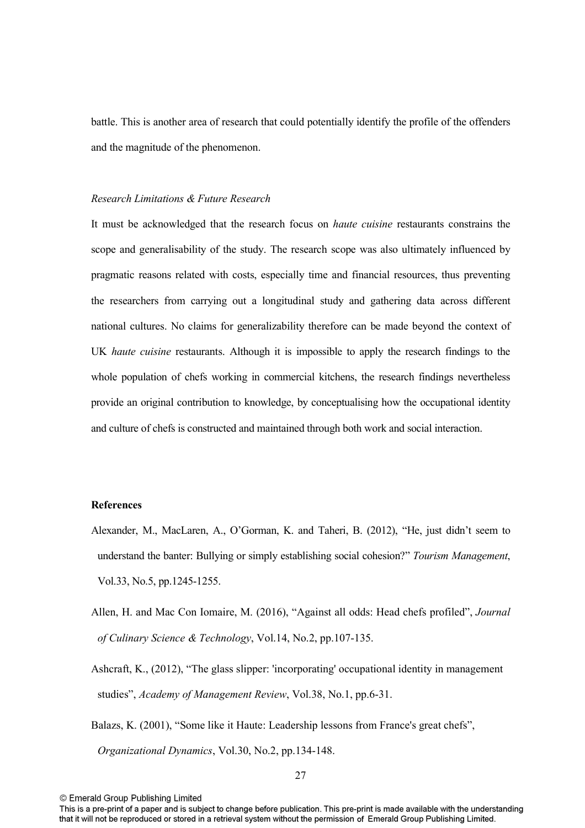battle. This is another area of research that could potentially identify the profile of the offenders and the magnitude of the phenomenon.

# *Research Limitations & Future Research*

It must be acknowledged that the research focus on *haute cuisine* restaurants constrains the scope and generalisability of the study. The research scope was also ultimately influenced by pragmatic reasons related with costs, especially time and financial resources, thus preventing the researchers from carrying out a longitudinal study and gathering data across different national cultures. No claims for generalizability therefore can be made beyond the context of UK *haute cuisine* restaurants. Although it is impossible to apply the research findings to the whole population of chefs working in commercial kitchens, the research findings nevertheless provide an original contribution to knowledge, by conceptualising how the occupational identity and culture of chefs is constructed and maintained through both work and social interaction.

#### **References**

- Alexander, M., MacLaren, A., O'Gorman, K. and Taheri, B. (2012), "He, just didn't seem to understand the banter: Bullying or simply establishing social cohesion?" *Tourism Management*, Vol.33, No.5, pp.1245-1255.
- Allen, H. and Mac Con Iomaire, M. (2016), "Against all odds: Head chefs profiled", *Journal of Culinary Science & Technology*, Vol.14, No.2, pp.107-135.
- Ashcraft, K., (2012), "The glass slipper: 'incorporating' occupational identity in management studies", *Academy of Management Review*, Vol.38, No.1, pp.6-31.

Balazs, K. (2001), "Some like it Haute: Leadership lessons from France's great chefs",

*Organizational Dynamics*, Vol.30, No.2, pp.134-148.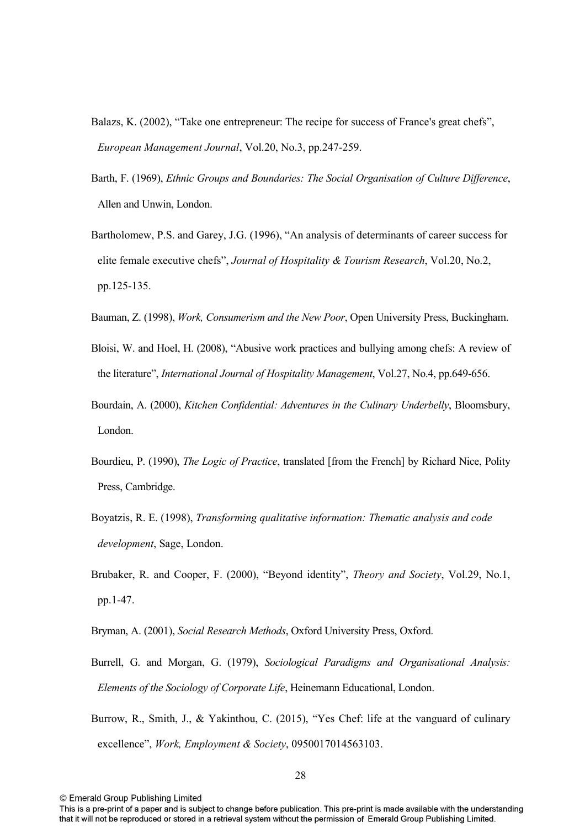- Balazs, K. (2002), "Take one entrepreneur: The recipe for success of France's great chefs", *European Management Journal*, Vol.20, No.3, pp.247-259.
- Barth, F. (1969), *Ethnic Groups and Boundaries: The Social Organisation of Culture Difference*, Allen and Unwin, London.
- Bartholomew, P.S. and Garey, J.G. (1996), "An analysis of determinants of career success for elite female executive chefs", *Journal of Hospitality & Tourism Research*, Vol.20, No.2, pp.125-135.
- Bauman, Z. (1998), *Work, Consumerism and the New Poor*, Open University Press, Buckingham.
- Bloisi, W. and Hoel, H. (2008), "Abusive work practices and bullying among chefs: A review of the literature", *International Journal of Hospitality Management*, Vol.27, No.4, pp.649-656.
- Bourdain, A. (2000), *Kitchen Confidential: Adventures in the Culinary Underbelly*, Bloomsbury, London.
- Bourdieu, P. (1990), *The Logic of Practice*, translated [from the French] by Richard Nice, Polity Press, Cambridge.
- Boyatzis, R. E. (1998), *Transforming qualitative information: Thematic analysis and code development*, Sage, London.
- Brubaker, R. and Cooper, F. (2000), "Beyond identity", *Theory and Society*, Vol.29, No.1, pp.1-47.
- Bryman, A. (2001), *Social Research Methods*, Oxford University Press, Oxford.
- Burrell, G. and Morgan, G. (1979), *Sociological Paradigms and Organisational Analysis: Elements of the Sociology of Corporate Life*, Heinemann Educational, London.
- Burrow, R., Smith, J., & Yakinthou, C. (2015), "Yes Chef: life at the vanguard of culinary excellence", *Work, Employment & Society*, 0950017014563103.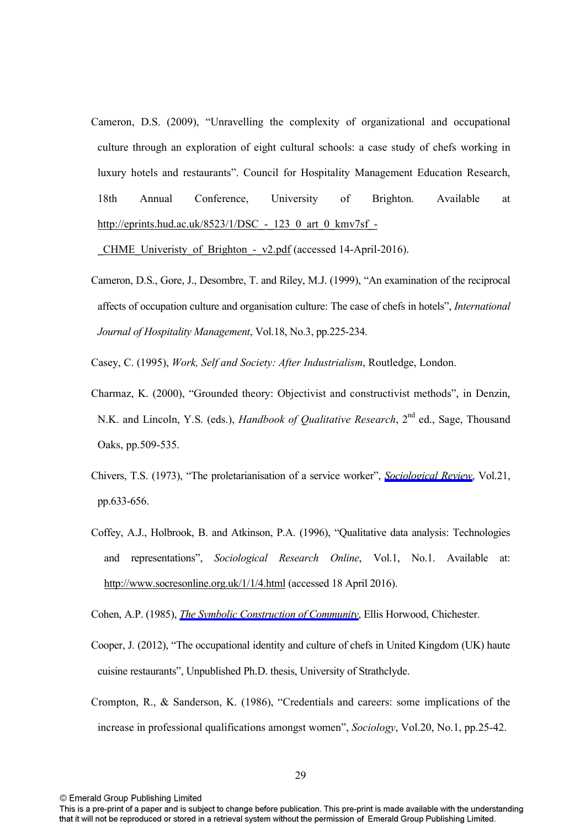Cameron, D.S. (2009), "Unravelling the complexity of organizational and occupational culture through an exploration of eight cultural schools: a case study of chefs working in luxury hotels and restaurants". Council for Hospitality Management Education Research, 18th Annual Conference, University of Brighton. Available at http://eprints.hud.ac.uk/8523/1/DSC - 123\_0\_art\_0\_kmv7sf\_-

CHME Univeristy of Brighton - v2.pdf (accessed 14-April-2016).

Cameron, D.S., Gore, J., Desombre, T. and Riley, M.J. (1999), "An examination of the reciprocal affects of occupation culture and organisation culture: The case of chefs in hotels", *International Journal of Hospitality Management*, Vol.18, No.3, pp.225-234.

Casey, C. (1995), *Work, Self and Society: After Industrialism*, Routledge, London.

- Charmaz, K. (2000), "Grounded theory: Objectivist and constructivist methods", in Denzin, N.K. and Lincoln, Y.S. (eds.), *Handbook of Qualitative Research*, 2nd ed., Sage, Thousand Oaks, pp.509-535.
- Chivers, T.S. (1973), "The proletarianisation of a service worker", *[Sociological Review](http://www.emeraldinsight.com/action/showLinks?isi=A1973R424600006)*, Vol.21, pp.633-656.
- Coffey, A.J., Holbrook, B. and Atkinson, P.A. (1996), "Qualitative data analysis: Technologies and representations", *Sociological Research Online*, Vol.1, No.1. Available at: http://www.socresonline.org.uk/1/1/4.html (accessed 18 April 2016).

Cohen, A.P. (1985), *[The Symbolic Construction of Community](http://www.emeraldinsight.com/action/showLinks?crossref=10.4324%2F9780203323373)*, Ellis Horwood, Chichester.

- Cooper, J. (2012), "The occupational identity and culture of chefs in United Kingdom (UK) haute cuisine restaurants", Unpublished Ph.D. thesis, University of Strathclyde.
- Crompton, R., & Sanderson, K. (1986), "Credentials and careers: some implications of the increase in professional qualifications amongst women", *Sociology*, Vol.20, No.1, pp.25-42.

This is a pre-print of a paper and is subject to change before publication. This pre-print is made available with the understanding that it will not be reproduced or stored in a retrieval system without the permission of Emerald Group Publishing Limited.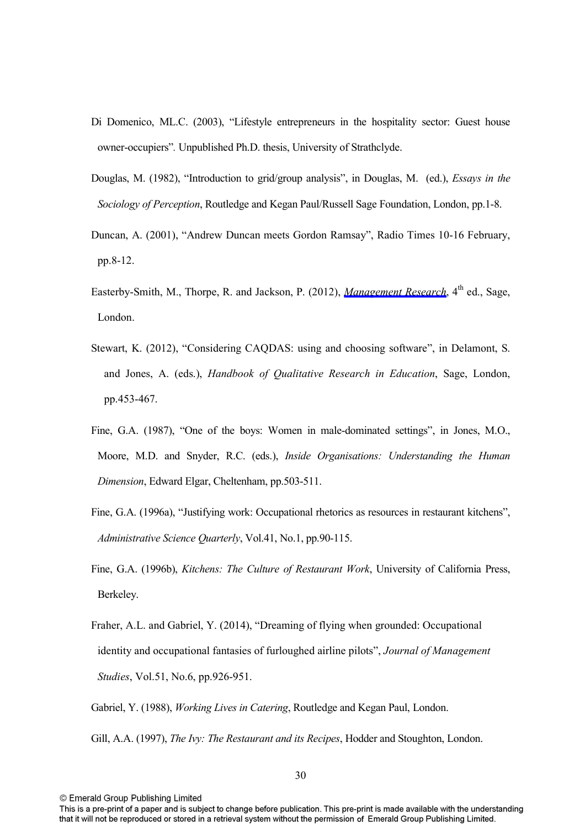- Di Domenico, ML.C. (2003), "Lifestyle entrepreneurs in the hospitality sector: Guest house owner-occupiers"*.* Unpublished Ph.D. thesis, University of Strathclyde.
- Douglas, M. (1982), "Introduction to grid/group analysis", in Douglas, M. (ed.), *Essays in the Sociology of Perception*, Routledge and Kegan Paul/Russell Sage Foundation, London, pp.1-8.
- Duncan, A. (2001), "Andrew Duncan meets Gordon Ramsay", Radio Times 10-16 February, pp.8-12.
- Easterby-Smith, M., Thorpe, R. and Jackson, P. (2012), *[Management Research](http://www.emeraldinsight.com/action/showLinks?crossref=10.4135%2F9781412950589.n521)*, 4<sup>th</sup> ed., Sage, London.
- Stewart, K. (2012), "Considering CAQDAS: using and choosing software", in Delamont, S. and Jones, A. (eds.), *Handbook of Qualitative Research in Education*, Sage, London, pp.453-467.
- Fine, G.A. (1987), "One of the boys: Women in male-dominated settings", in Jones, M.O., Moore, M.D. and Snyder, R.C. (eds.), *Inside Organisations: Understanding the Human Dimension*, Edward Elgar, Cheltenham, pp.503-511.
- Fine, G.A. (1996a), "Justifying work: Occupational rhetorics as resources in restaurant kitchens", *Administrative Science Quarterly*, Vol.41, No.1, pp.90-115.
- Fine, G.A. (1996b), *Kitchens: The Culture of Restaurant Work*, University of California Press, Berkeley.
- Fraher, A.L. and Gabriel, Y. (2014), "Dreaming of flying when grounded: Occupational identity and occupational fantasies of furloughed airline pilots", *Journal of Management Studies*, Vol.51, No.6, pp.926-951.

Gabriel, Y. (1988), *Working Lives in Catering*, Routledge and Kegan Paul, London.

Gill, A.A. (1997), *The Ivy: The Restaurant and its Recipes*, Hodder and Stoughton, London.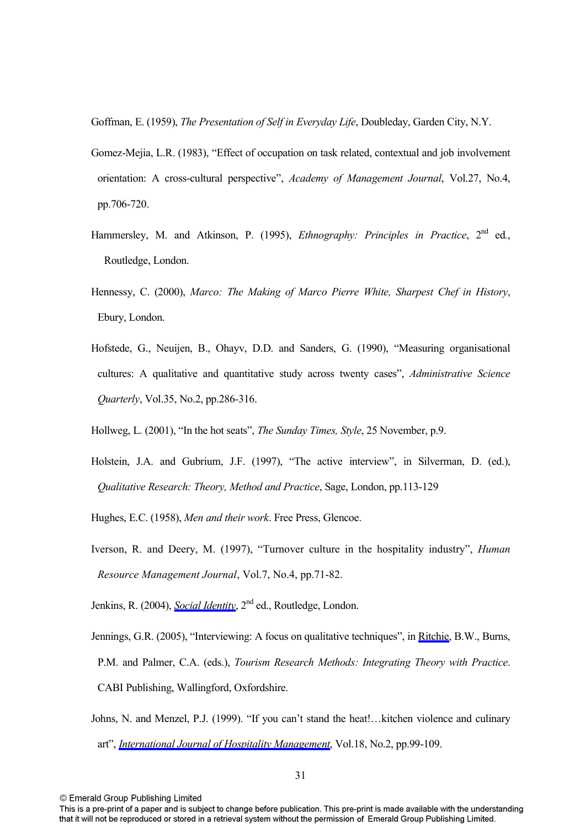Goffman, E. (1959), *The Presentation of Self in Everyday Life*, Doubleday, Garden City, N.Y.

- Gomez-Mejia, L.R. (1983), "Effect of occupation on task related, contextual and job involvement orientation: A cross-cultural perspective", *Academy of Management Journal*, Vol.27, No.4, pp.706-720.
- Hammersley, M. and Atkinson, P. (1995), *Ethnography: Principles in Practice*, 2<sup>nd</sup> ed., Routledge, London.
- Hennessy, C. (2000), *Marco: The Making of Marco Pierre White, Sharpest Chef in History*, Ebury, London.
- Hofstede, G., Neuijen, B., Ohayv, D.D. and Sanders, G. (1990), "Measuring organisational cultures: A qualitative and quantitative study across twenty cases", *Administrative Science Quarterly*, Vol.35, No.2, pp.286-316.
- Hollweg, L. (2001), "In the hot seats", *The Sunday Times, Style*, 25 November, p.9.
- Holstein, J.A. and Gubrium, J.F. (1997), "The active interview", in Silverman, D. (ed.), *Qualitative Research: Theory, Method and Practice*, Sage, London, pp.113-129
- Hughes, E.C. (1958), *Men and their work*. Free Press, Glencoe.
- Iverson, R. and Deery, M. (1997), "Turnover culture in the hospitality industry", *Human Resource Management Journal*, Vol.7, No.4, pp.71-82.

Jenkins, R. (2004), *[Social Identity](http://www.emeraldinsight.com/action/showLinks?crossref=10.4324%2F9780203463352)*, 2<sup>nd</sup> ed., Routledge, London.

- Jennings, G.R. (2005), "Interviewing: A focus on qualitative techniques", in [Ritchie,](http://www.emeraldinsight.com/action/showLinks?crossref=10.1079%2F9780851999968.0099) B.W., Burns, P.M. and Palmer, C.A. (eds.), *Tourism Research Methods: Integrating Theory with Practice*. CABI Publishing, Wallingford, Oxfordshire.
- Johns, N. and Menzel, P.J. (1999). "If you can't stand the heat!…kitchen violence and culinary art", *[International Journal of Hospitality Management](http://www.emeraldinsight.com/action/showLinks?crossref=10.1016%2FS0278-4319%2899%2900013-4)*, Vol.18, No.2, pp.99-109.

This is a pre-print of a paper and is subject to change before publication. This pre-print is made available with the understanding that it will not be reproduced or stored in a retrieval system without the permission of Emerald Group Publishing Limited.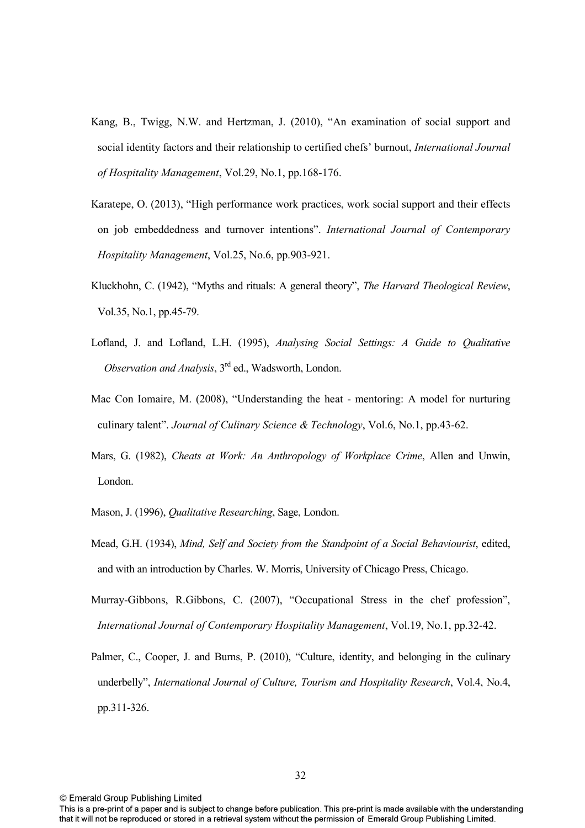- Kang, B., Twigg, N.W. and Hertzman, J. (2010), "An examination of social support and social identity factors and their relationship to certified chefs' burnout, *International Journal of Hospitality Management*, Vol.29, No.1, pp.168-176.
- Karatepe, O. (2013), "High performance work practices, work social support and their effects on job embeddedness and turnover intentions". *International Journal of Contemporary Hospitality Management*, Vol.25, No.6, pp.903-921.
- Kluckhohn, C. (1942), "Myths and rituals: A general theory", *The Harvard Theological Review*, Vol.35, No.1, pp.45-79.
- Lofland, J. and Lofland, L.H. (1995), *Analysing Social Settings: A Guide to Qualitative*  Observation and Analysis, 3<sup>rd</sup> ed., Wadsworth, London.
- Mac Con Iomaire, M. (2008), "Understanding the heat mentoring: A model for nurturing culinary talent". *Journal of Culinary Science & Technology*, Vol.6, No.1, pp.43-62.
- Mars, G. (1982), *Cheats at Work: An Anthropology of Workplace Crime*, Allen and Unwin, London.
- Mason, J. (1996), *Qualitative Researching*, Sage, London.
- Mead, G.H. (1934), *Mind, Self and Society from the Standpoint of a Social Behaviourist*, edited, and with an introduction by Charles. W. Morris, University of Chicago Press, Chicago.
- Murray-Gibbons, R.Gibbons, C. (2007), "Occupational Stress in the chef profession", *International Journal of Contemporary Hospitality Management*, Vol.19, No.1, pp.32-42.
- Palmer, C., Cooper, J. and Burns, P. (2010), "Culture, identity, and belonging in the culinary underbelly", *International Journal of Culture, Tourism and Hospitality Research*, Vol.4, No.4, pp.311-326.

This is a pre-print of a paper and is subject to change before publication. This pre-print is made available with the understanding that it will not be reproduced or stored in a retrieval system without the permission of Emerald Group Publishing Limited.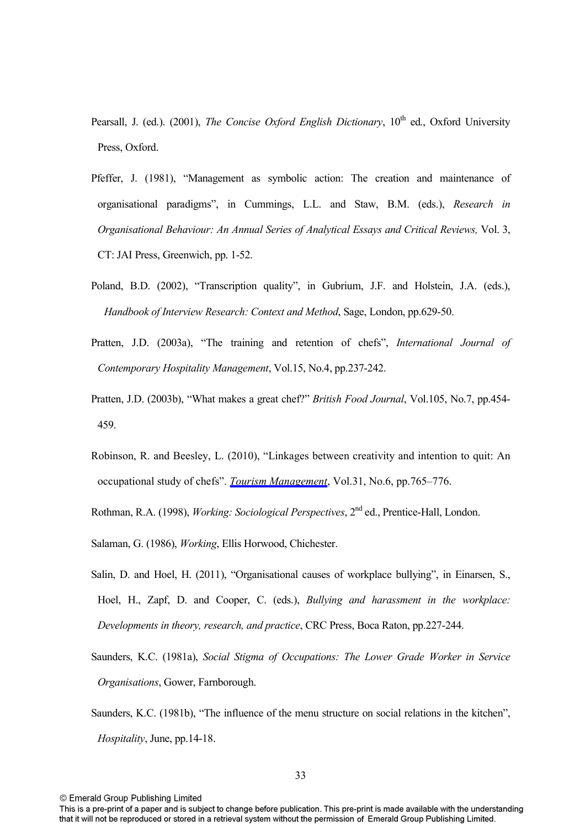- Pearsall, J. (ed.). (2001), *The Concise Oxford English Dictionary*, 10<sup>th</sup> ed., Oxford University Press, Oxford.
- Pfeffer, J. (1981), "Management as symbolic action: The creation and maintenance of organisational paradigms", in Cummings, L.L. and Staw, B.M. (eds.), *Research in Organisational Behaviour: An Annual Series of Analytical Essays and Critical Reviews,* Vol. 3, CT: JAI Press, Greenwich, pp. 1-52.
- Poland, B.D. (2002), "Transcription quality", in Gubrium, J.F. and Holstein, J.A. (eds.), *Handbook of Interview Research: Context and Method*, Sage, London, pp.629-50.
- Pratten, J.D. (2003a), "The training and retention of chefs", *International Journal of Contemporary Hospitality Management*, Vol.15, No.4, pp.237-242.
- Pratten, J.D. (2003b), "What makes a great chef?" *British Food Journal*, Vol.105, No.7, pp.454- 459.
- Robinson, R. and Beesley, L. (2010), "Linkages between creativity and intention to quit: An occupational study of chefs". *[Tourism Management](http://www.emeraldinsight.com/action/showLinks?crossref=10.1016%2Fj.tourman.2009.08.003&isi=000281176500007)*, Vol.31, No.6, pp.765–776.
- Rothman, R.A. (1998), *Working: Sociological Perspectives*, 2nd ed., Prentice-Hall, London.
- Salaman, G. (1986), *Working*, Ellis Horwood, Chichester.
- Salin, D. and Hoel, H. (2011), "Organisational causes of workplace bullying", in Einarsen, S., Hoel, H., Zapf, D. and Cooper, C. (eds.), *Bullying and harassment in the workplace: Developments in theory, research, and practice*, CRC Press, Boca Raton, pp.227-244.
- Saunders, K.C. (1981a), *Social Stigma of Occupations: The Lower Grade Worker in Service Organisations*, Gower, Farnborough.

Saunders, K.C. (1981b), "The influence of the menu structure on social relations in the kitchen", *Hospitality*, June, pp.14-18.

This is a pre-print of a paper and is subject to change before publication. This pre-print is made available with the understanding that it will not be reproduced or stored in a retrieval system without the permission of Emerald Group Publishing Limited.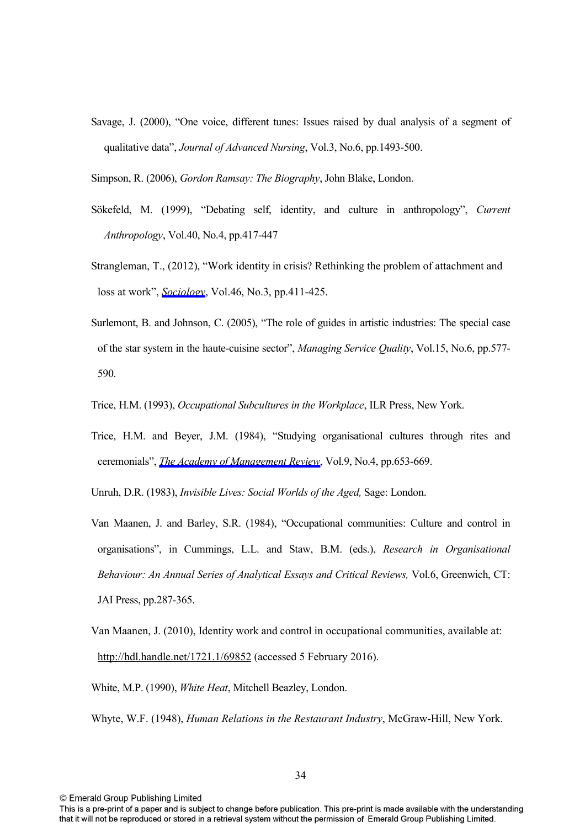Savage, J. (2000), "One voice, different tunes: Issues raised by dual analysis of a segment of qualitative data", *Journal of Advanced Nursing*, Vol.3, No.6, pp.1493-500.

Simpson, R. (2006), *Gordon Ramsay: The Biography*, John Blake, London.

- Sökefeld, M. (1999), "Debating self, identity, and culture in anthropology", *Current Anthropology*, Vol.40, No.4, pp.417-447
- Strangleman, T., (2012), "Work identity in crisis? Rethinking the problem of attachment and loss at work", *[Sociology](http://www.emeraldinsight.com/action/showLinks?crossref=10.1177%2F0038038511422585)*, Vol.46, No.3, pp.411-425.
- Surlemont, B. and Johnson, C. (2005), "The role of guides in artistic industries: The special case of the star system in the haute-cuisine sector", *Managing Service Quality*, Vol.15, No.6, pp.577- 590.
- Trice, H.M. (1993), *Occupational Subcultures in the Workplace*, ILR Press, New York.
- Trice, H.M. and Beyer, J.M. (1984), "Studying organisational cultures through rites and ceremonials", *[The Academy of Management Review](http://www.emeraldinsight.com/action/showLinks?isi=A1984TS34600007)*, Vol.9, No.4, pp.653-669.
- Unruh, D.R. (1983), *Invisible Lives: Social Worlds of the Aged,* Sage: London.
- Van Maanen, J. and Barley, S.R. (1984), "Occupational communities: Culture and control in organisations", in Cummings, L.L. and Staw, B.M. (eds.), *Research in Organisational Behaviour: An Annual Series of Analytical Essays and Critical Reviews,* Vol.6, Greenwich, CT: JAI Press, pp.287-365.
- Van Maanen, J. (2010), Identity work and control in occupational communities, available at: http://hdl.handle.net/1721.1/69852 (accessed 5 February 2016).

White, M.P. (1990), *White Heat*, Mitchell Beazley, London.

Whyte, W.F. (1948), *Human Relations in the Restaurant Industry*, McGraw-Hill, New York.

This is a pre-print of a paper and is subject to change before publication. This pre-print is made available with the understanding that it will not be reproduced or stored in a retrieval system without the permission of Emerald Group Publishing Limited.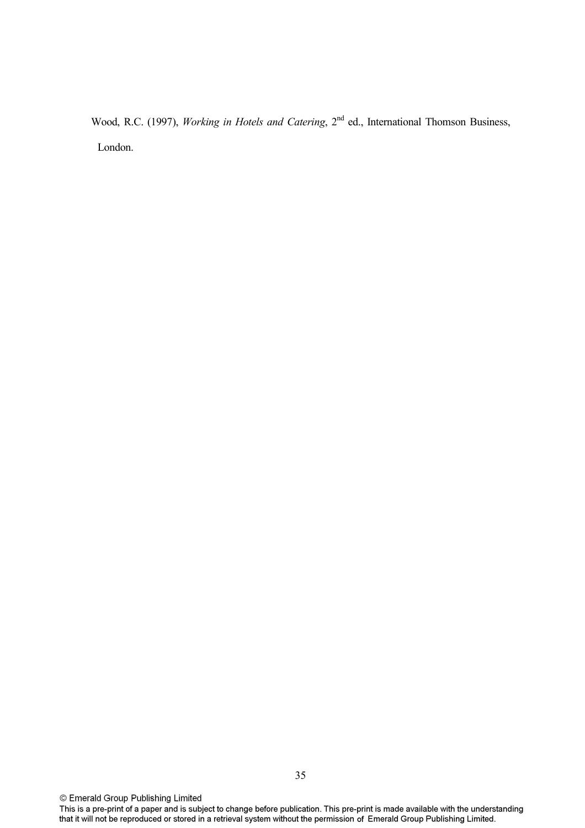Wood, R.C. (1997), *Working in Hotels and Catering*, 2<sup>nd</sup> ed., International Thomson Business, London.

© Emerald Group Publishing Limited<br>This is a pre-print of a paper and is subject to change before publication. This pre-print is made available with the understanding<br>that it will not be reproduced or stored in a retrieval